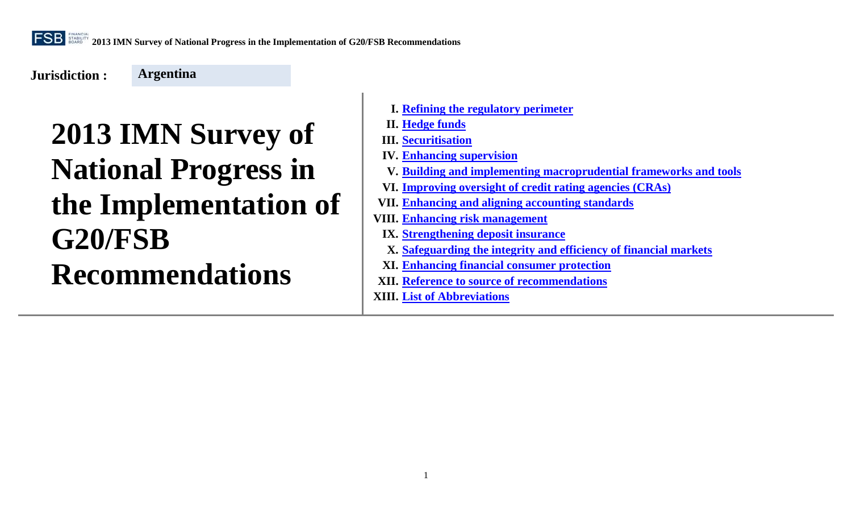**Jurisdiction :** 

**Argentina**

- **I. [Refining the regulatory perimeter](#page-1-0)**
- **II. [Hedge funds](#page-3-0)**
- **III. [Securitisation](#page-7-0)**
- **IV. [Enhancing supervision](#page-15-0)**
- **V. [Building and implementing macroprudential frameworks and tools](#page-22-0)**
- **VI. [Improving oversight of credit rating agencies \(CRAs\)](#page-28-0)**
- **VII. [Enhancing and aligning accounting standards](#page-31-0)**
- **VIII. [Enhancing risk management](#page-35-0)**
- **IX. [Strengthening deposit insurance](#page-42-0)**
- **X. [Safeguarding the integrity and efficiency of financial markets](#page-44-0)**
- **XI. [Enhancing financial consumer protection](#page-48-0)**
- **XII. Reference to source [of recommendations](#page-51-0)**
- **XIII. [List of Abbreviations](#page-51-1)**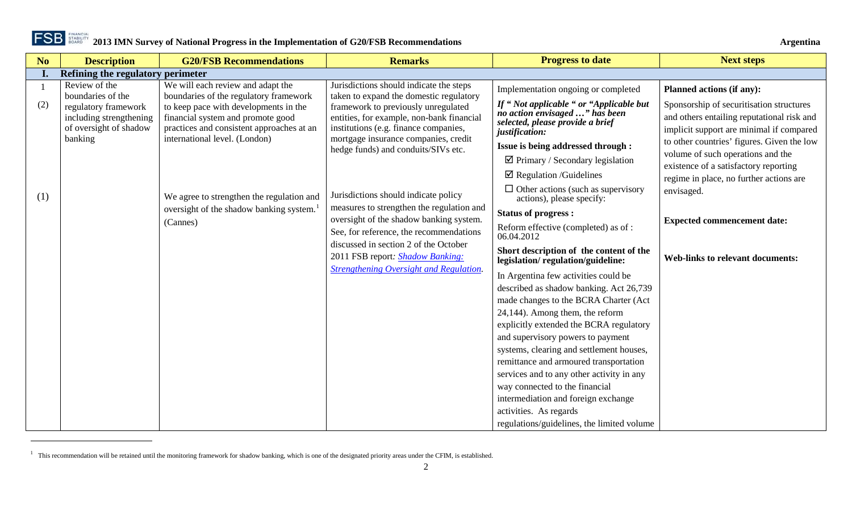<span id="page-1-1"></span>

<span id="page-1-0"></span>

| N <sub>o</sub> | <b>Description</b>                                                                   | <b>G20/FSB Recommendations</b>                                                                                                                           | <b>Remarks</b>                                                                                                                                                                                           | <b>Progress to date</b>                                                                                                                                                                                                                                                                                                                                                                                                                                                                                                         | <b>Next steps</b>                                                                                                                                                                                                                                                                                         |
|----------------|--------------------------------------------------------------------------------------|----------------------------------------------------------------------------------------------------------------------------------------------------------|----------------------------------------------------------------------------------------------------------------------------------------------------------------------------------------------------------|---------------------------------------------------------------------------------------------------------------------------------------------------------------------------------------------------------------------------------------------------------------------------------------------------------------------------------------------------------------------------------------------------------------------------------------------------------------------------------------------------------------------------------|-----------------------------------------------------------------------------------------------------------------------------------------------------------------------------------------------------------------------------------------------------------------------------------------------------------|
| I.             | Refining the regulatory perimeter                                                    |                                                                                                                                                          |                                                                                                                                                                                                          |                                                                                                                                                                                                                                                                                                                                                                                                                                                                                                                                 |                                                                                                                                                                                                                                                                                                           |
|                | Review of the<br>boundaries of the                                                   | We will each review and adapt the<br>boundaries of the regulatory framework                                                                              | Jurisdictions should indicate the steps<br>taken to expand the domestic regulatory                                                                                                                       | Implementation ongoing or completed                                                                                                                                                                                                                                                                                                                                                                                                                                                                                             | <b>Planned actions (if any):</b>                                                                                                                                                                                                                                                                          |
| (2)            | regulatory framework<br>including strengthening<br>of oversight of shadow<br>banking | to keep pace with developments in the<br>financial system and promote good<br>practices and consistent approaches at an<br>international level. (London) | framework to previously unregulated<br>entities, for example, non-bank financial<br>institutions (e.g. finance companies,<br>mortgage insurance companies, credit<br>hedge funds) and conduits/SIVs etc. | If "Not applicable " or "Applicable but<br>no action envisaged " has been<br>selected, please provide a brief<br>justification:<br>Issue is being addressed through :<br>$\boxtimes$ Primary / Secondary legislation<br>$\boxtimes$ Regulation /Guidelines                                                                                                                                                                                                                                                                      | Sponsorship of securitisation structures<br>and others entailing reputational risk and<br>implicit support are minimal if compared<br>to other countries' figures. Given the low<br>volume of such operations and the<br>existence of a satisfactory reporting<br>regime in place, no further actions are |
| (1)            |                                                                                      | We agree to strengthen the regulation and<br>oversight of the shadow banking system.<br>(Cannes)                                                         | Jurisdictions should indicate policy<br>measures to strengthen the regulation and<br>oversight of the shadow banking system.<br>See, for reference, the recommendations                                  | $\Box$ Other actions (such as supervisory<br>actions), please specify:<br><b>Status of progress:</b><br>Reform effective (completed) as of :<br>06.04.2012                                                                                                                                                                                                                                                                                                                                                                      | envisaged.<br><b>Expected commencement date:</b>                                                                                                                                                                                                                                                          |
|                |                                                                                      |                                                                                                                                                          | discussed in section 2 of the October<br>2011 FSB report: <b>Shadow Banking:</b>                                                                                                                         | Short description of the content of the<br>legislation/regulation/guideline:                                                                                                                                                                                                                                                                                                                                                                                                                                                    | <b>Web-links to relevant documents:</b>                                                                                                                                                                                                                                                                   |
|                |                                                                                      |                                                                                                                                                          | <b>Strengthening Oversight and Regulation.</b>                                                                                                                                                           | In Argentina few activities could be<br>described as shadow banking. Act 26,739<br>made changes to the BCRA Charter (Act<br>24,144). Among them, the reform<br>explicitly extended the BCRA regulatory<br>and supervisory powers to payment<br>systems, clearing and settlement houses,<br>remittance and armoured transportation<br>services and to any other activity in any<br>way connected to the financial<br>intermediation and foreign exchange<br>activities. As regards<br>regulations/guidelines, the limited volume |                                                                                                                                                                                                                                                                                                           |

 $1$  This recommendation will be retained until the monitoring framework for shadow banking, which is one of the designated priority areas under the CFIM, is established.

 $\overline{a}$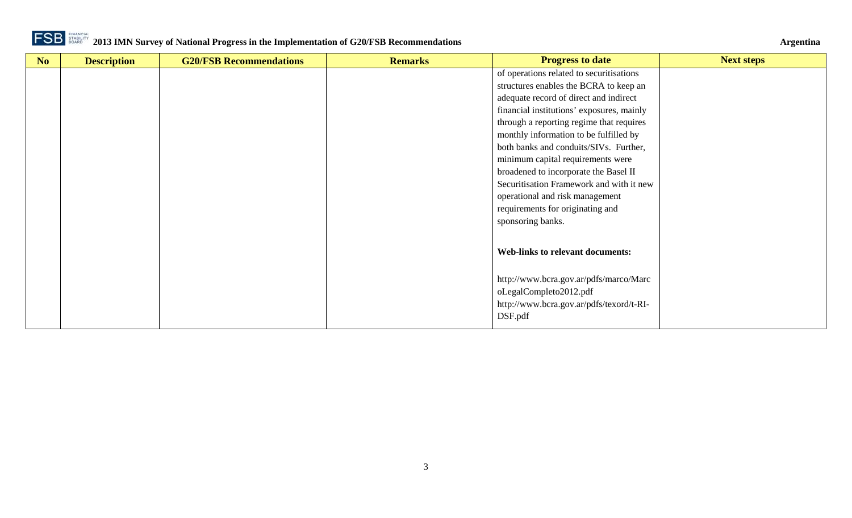

| No | <b>Description</b> | <b>G20/FSB Recommendations</b> | <b>Remarks</b> | <b>Progress to date</b>                   | <b>Next steps</b> |
|----|--------------------|--------------------------------|----------------|-------------------------------------------|-------------------|
|    |                    |                                |                | of operations related to securitisations  |                   |
|    |                    |                                |                | structures enables the BCRA to keep an    |                   |
|    |                    |                                |                | adequate record of direct and indirect    |                   |
|    |                    |                                |                | financial institutions' exposures, mainly |                   |
|    |                    |                                |                | through a reporting regime that requires  |                   |
|    |                    |                                |                | monthly information to be fulfilled by    |                   |
|    |                    |                                |                | both banks and conduits/SIVs. Further,    |                   |
|    |                    |                                |                | minimum capital requirements were         |                   |
|    |                    |                                |                | broadened to incorporate the Basel II     |                   |
|    |                    |                                |                | Securitisation Framework and with it new  |                   |
|    |                    |                                |                | operational and risk management           |                   |
|    |                    |                                |                | requirements for originating and          |                   |
|    |                    |                                |                | sponsoring banks.                         |                   |
|    |                    |                                |                |                                           |                   |
|    |                    |                                |                |                                           |                   |
|    |                    |                                |                | <b>Web-links to relevant documents:</b>   |                   |
|    |                    |                                |                |                                           |                   |
|    |                    |                                |                | http://www.bcra.gov.ar/pdfs/marco/Marc    |                   |
|    |                    |                                |                | oLegalCompleto2012.pdf                    |                   |
|    |                    |                                |                | http://www.bcra.gov.ar/pdfs/texord/t-RI-  |                   |
|    |                    |                                |                | DSF.pdf                                   |                   |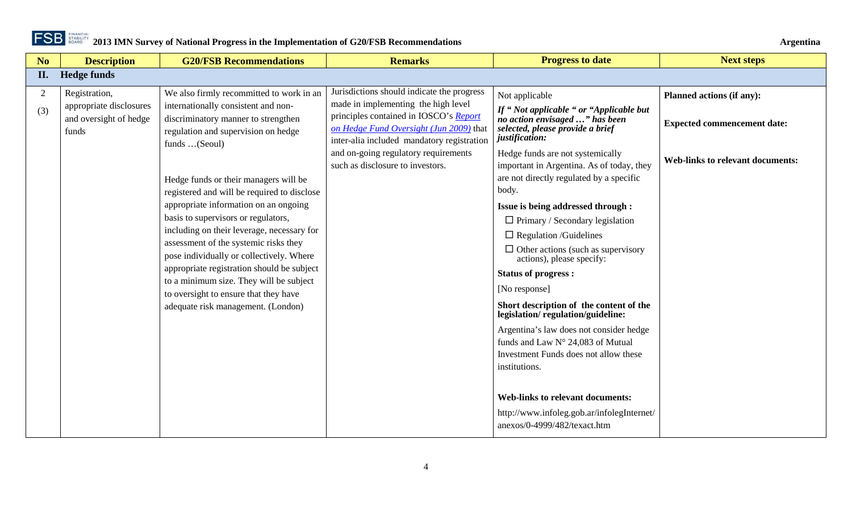

<span id="page-3-0"></span>

| No       | <b>Description</b>                                                          | <b>G20/FSB Recommendations</b>                                                                                                                                                                                                                                                                                                                                                                                                                                                                                                                                                                                                                                    | <b>Remarks</b>                                                                                                                                                                                                                                                                                   | <b>Progress to date</b>                                                                                                                                                                                                                                                                                                                                                                                                                                                                                                                                                                                                                                                                                                                                                                                                                                                              | <b>Next steps</b>                                                                                          |
|----------|-----------------------------------------------------------------------------|-------------------------------------------------------------------------------------------------------------------------------------------------------------------------------------------------------------------------------------------------------------------------------------------------------------------------------------------------------------------------------------------------------------------------------------------------------------------------------------------------------------------------------------------------------------------------------------------------------------------------------------------------------------------|--------------------------------------------------------------------------------------------------------------------------------------------------------------------------------------------------------------------------------------------------------------------------------------------------|--------------------------------------------------------------------------------------------------------------------------------------------------------------------------------------------------------------------------------------------------------------------------------------------------------------------------------------------------------------------------------------------------------------------------------------------------------------------------------------------------------------------------------------------------------------------------------------------------------------------------------------------------------------------------------------------------------------------------------------------------------------------------------------------------------------------------------------------------------------------------------------|------------------------------------------------------------------------------------------------------------|
| II.      | <b>Hedge funds</b>                                                          |                                                                                                                                                                                                                                                                                                                                                                                                                                                                                                                                                                                                                                                                   |                                                                                                                                                                                                                                                                                                  |                                                                                                                                                                                                                                                                                                                                                                                                                                                                                                                                                                                                                                                                                                                                                                                                                                                                                      |                                                                                                            |
| 2<br>(3) | Registration,<br>appropriate disclosures<br>and oversight of hedge<br>funds | We also firmly recommitted to work in an<br>internationally consistent and non-<br>discriminatory manner to strengthen<br>regulation and supervision on hedge<br>funds (Seoul)<br>Hedge funds or their managers will be<br>registered and will be required to disclose<br>appropriate information on an ongoing<br>basis to supervisors or regulators,<br>including on their leverage, necessary for<br>assessment of the systemic risks they<br>pose individually or collectively. Where<br>appropriate registration should be subject<br>to a minimum size. They will be subject<br>to oversight to ensure that they have<br>adequate risk management. (London) | Jurisdictions should indicate the progress<br>made in implementing the high level<br>principles contained in IOSCO's Report<br>on Hedge Fund Oversight (Jun 2009) that<br>inter-alia included mandatory registration<br>and on-going regulatory requirements<br>such as disclosure to investors. | Not applicable<br>If "Not applicable " or "Applicable but<br>no action envisaged " has been<br>selected, please provide a brief<br>justification:<br>Hedge funds are not systemically<br>important in Argentina. As of today, they<br>are not directly regulated by a specific<br>body.<br>Issue is being addressed through :<br>$\Box$ Primary / Secondary legislation<br>$\Box$ Regulation /Guidelines<br>$\Box$ Other actions (such as supervisory<br>actions), please specify:<br><b>Status of progress:</b><br>[No response]<br>Short description of the content of the<br>legislation/regulation/guideline:<br>Argentina's law does not consider hedge<br>funds and Law N° 24,083 of Mutual<br>Investment Funds does not allow these<br>institutions.<br><b>Web-links to relevant documents:</b><br>http://www.infoleg.gob.ar/infolegInternet/<br>anexos/0-4999/482/texact.htm | Planned actions (if any):<br><b>Expected commencement date:</b><br><b>Web-links to relevant documents:</b> |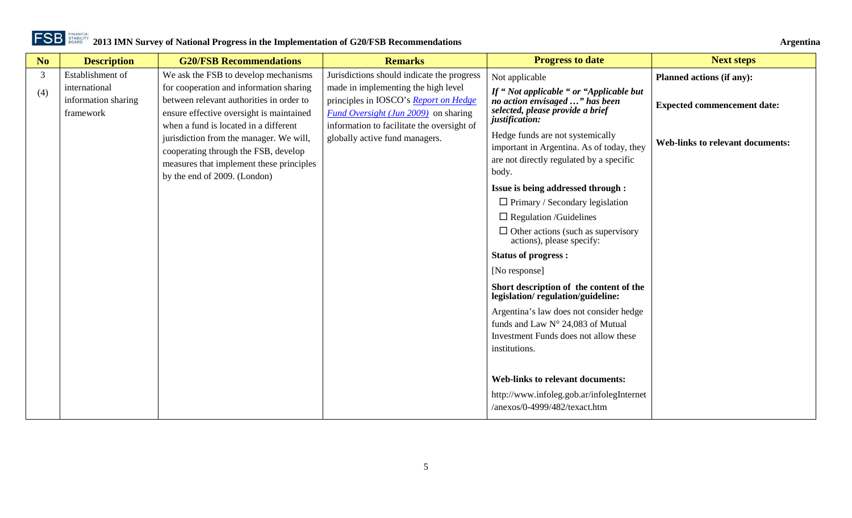**No Description G20/FSB Recommendations Remarks Progress to date Progress to date Next steps** 3 (4) Establishment of international information sharing framework We ask the FSB to develop mechanisms for cooperation and information sharing between relevant authorities in order to ensure effective oversight is maintained when a fund is located in a different jurisdiction from the manager. We will, cooperating through the FSB, develop measures that implement these principles by the end of 2009. (London) Jurisdictions should indicate the progress made in implementing the high level principles in IOSCO's *[Report on Hedge](http://www.iosco.org/library/pubdocs/pdf/IOSCOPD293.pdf)  [Fund Oversight \(Jun 2009\)](http://www.iosco.org/library/pubdocs/pdf/IOSCOPD293.pdf)* on sharing information to facilitate the oversight of globally active fund managers. Not applicable *If " Not applicable " or "Applicable but no action envisaged …" has been selected, please provide a brief justification:* Hedge funds are not systemically important in Argentina. As of today, they are not directly regulated by a specific body. **Issue is being addressed through :**  $\Box$  Primary / Secondary legislation  $\Box$  Regulation /Guidelines  $\Box$  Other actions (such as supervisory actions), please specify: **Status of progress :** [No response] **Short description of the content of the legislation/ regulation/guideline:** Argentina's law does not consider hedge funds and Law N° 24,083 of Mutual Investment Funds does not allow these institutions. **Web-links to relevant documents:** http://www.infoleg.gob.ar/infolegInternet /anexos/0-4999/482/texact.htm **Planned actions (if any): Expected commencement date: Web-links to relevant documents:**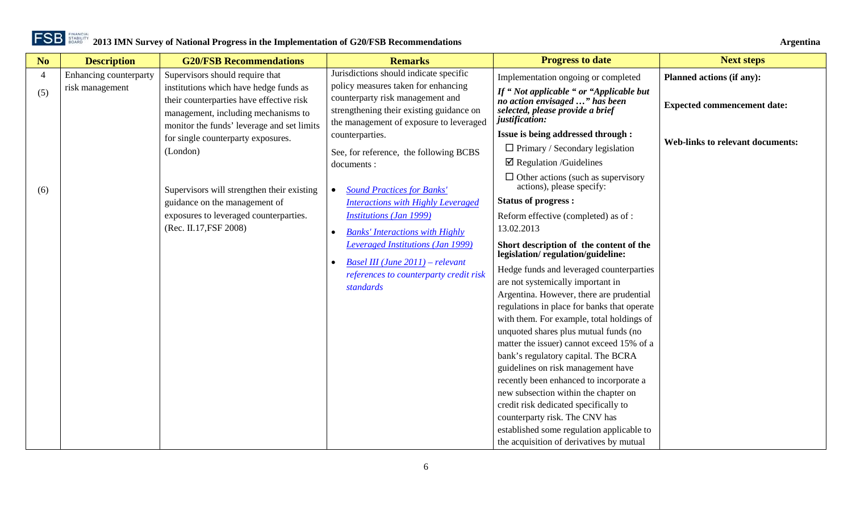| N <sub>o</sub> | <b>Description</b>            | <b>G20/FSB Recommendations</b>                                                                                            | <b>Remarks</b>                                                                                                                                                                                                           | <b>Progress to date</b>                                                                                                                                                                                                                                                                                                                                                                                                | <b>Next steps</b>                       |
|----------------|-------------------------------|---------------------------------------------------------------------------------------------------------------------------|--------------------------------------------------------------------------------------------------------------------------------------------------------------------------------------------------------------------------|------------------------------------------------------------------------------------------------------------------------------------------------------------------------------------------------------------------------------------------------------------------------------------------------------------------------------------------------------------------------------------------------------------------------|-----------------------------------------|
| $\overline{4}$ | <b>Enhancing counterparty</b> | Supervisors should require that                                                                                           | Jurisdictions should indicate specific                                                                                                                                                                                   | Implementation ongoing or completed                                                                                                                                                                                                                                                                                                                                                                                    | <b>Planned actions (if any):</b>        |
| (5)            | risk management               | institutions which have hedge funds as<br>their counterparties have effective risk<br>management, including mechanisms to | policy measures taken for enhancing<br>counterparty risk management and<br>strengthening their existing guidance on<br>the management of exposure to leveraged                                                           | If "Not applicable " or "Applicable but<br>no action envisaged " has been<br>selected, please provide a brief<br>justification:                                                                                                                                                                                                                                                                                        | <b>Expected commencement date:</b>      |
|                |                               | monitor the funds' leverage and set limits<br>for single counterparty exposures.                                          | counterparties.                                                                                                                                                                                                          | Issue is being addressed through :                                                                                                                                                                                                                                                                                                                                                                                     |                                         |
|                |                               | (London)                                                                                                                  | See, for reference, the following BCBS<br>documents :                                                                                                                                                                    | $\Box$ Primary / Secondary legislation<br>$\boxtimes$ Regulation /Guidelines                                                                                                                                                                                                                                                                                                                                           | <b>Web-links to relevant documents:</b> |
| (6)            |                               | Supervisors will strengthen their existing                                                                                | <b>Sound Practices for Banks'</b><br>$\bullet$                                                                                                                                                                           | $\Box$ Other actions (such as supervisory<br>actions), please specify:                                                                                                                                                                                                                                                                                                                                                 |                                         |
|                |                               | guidance on the management of                                                                                             | <b>Interactions with Highly Leveraged</b>                                                                                                                                                                                | <b>Status of progress:</b>                                                                                                                                                                                                                                                                                                                                                                                             |                                         |
|                |                               | exposures to leveraged counterparties.<br>(Rec. II.17, FSF 2008)                                                          | <b>Institutions (Jan 1999)</b><br><b>Banks' Interactions with Highly</b><br>$\bullet$<br>Leveraged Institutions (Jan 1999)<br>Basel III (June $2011$ ) – relevant<br>references to counterparty credit risk<br>standards | Reform effective (completed) as of :<br>13.02.2013<br>Short description of the content of the<br>legislation/regulation/guideline:<br>Hedge funds and leveraged counterparties<br>are not systemically important in<br>Argentina. However, there are prudential<br>regulations in place for banks that operate                                                                                                         |                                         |
|                |                               |                                                                                                                           |                                                                                                                                                                                                                          | with them. For example, total holdings of                                                                                                                                                                                                                                                                                                                                                                              |                                         |
|                |                               |                                                                                                                           |                                                                                                                                                                                                                          | unquoted shares plus mutual funds (no<br>matter the issuer) cannot exceed 15% of a<br>bank's regulatory capital. The BCRA<br>guidelines on risk management have<br>recently been enhanced to incorporate a<br>new subsection within the chapter on<br>credit risk dedicated specifically to<br>counterparty risk. The CNV has<br>established some regulation applicable to<br>the acquisition of derivatives by mutual |                                         |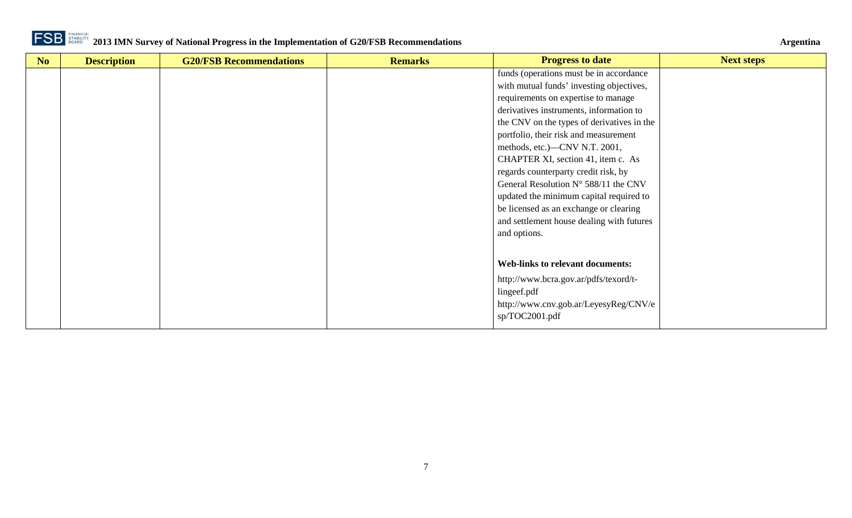

| N <sub>o</sub> | <b>Description</b> | <b>G20/FSB Recommendations</b> | <b>Remarks</b> | <b>Progress to date</b>                       | <b>Next steps</b> |
|----------------|--------------------|--------------------------------|----------------|-----------------------------------------------|-------------------|
|                |                    |                                |                | funds (operations must be in accordance       |                   |
|                |                    |                                |                | with mutual funds' investing objectives,      |                   |
|                |                    |                                |                | requirements on expertise to manage           |                   |
|                |                    |                                |                | derivatives instruments, information to       |                   |
|                |                    |                                |                | the CNV on the types of derivatives in the    |                   |
|                |                    |                                |                | portfolio, their risk and measurement         |                   |
|                |                    |                                |                | methods, etc.)—CNV N.T. 2001,                 |                   |
|                |                    |                                |                | CHAPTER XI, section 41, item c. As            |                   |
|                |                    |                                |                | regards counterparty credit risk, by          |                   |
|                |                    |                                |                | General Resolution $N^{\circ}$ 588/11 the CNV |                   |
|                |                    |                                |                | updated the minimum capital required to       |                   |
|                |                    |                                |                | be licensed as an exchange or clearing        |                   |
|                |                    |                                |                | and settlement house dealing with futures     |                   |
|                |                    |                                |                | and options.                                  |                   |
|                |                    |                                |                |                                               |                   |
|                |                    |                                |                | <b>Web-links to relevant documents:</b>       |                   |
|                |                    |                                |                |                                               |                   |
|                |                    |                                |                | http://www.bcra.gov.ar/pdfs/texord/t-         |                   |
|                |                    |                                |                | lingeef.pdf                                   |                   |
|                |                    |                                |                | http://www.cnv.gob.ar/LeyesyReg/CNV/e         |                   |
|                |                    |                                |                | sp/TOC2001.pdf                                |                   |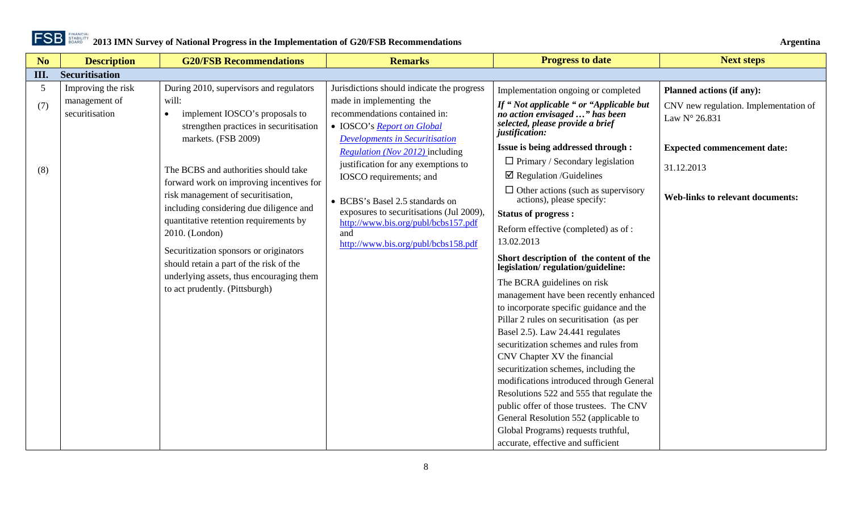

**2013 IMN Survey of National Progress in the Implementation of G20/FSB Recommendations Argentina** 

<span id="page-7-0"></span>

| No   | <b>Description</b>                  | <b>G20/FSB Recommendations</b>                                                                               | <b>Remarks</b>                                                                                       | <b>Progress to date</b>                                                                                                         | <b>Next steps</b>                                      |
|------|-------------------------------------|--------------------------------------------------------------------------------------------------------------|------------------------------------------------------------------------------------------------------|---------------------------------------------------------------------------------------------------------------------------------|--------------------------------------------------------|
| III. | <b>Securitisation</b>               |                                                                                                              |                                                                                                      |                                                                                                                                 |                                                        |
| 5    | Improving the risk<br>management of | During 2010, supervisors and regulators<br>will:                                                             | Jurisdictions should indicate the progress<br>made in implementing the                               | Implementation ongoing or completed                                                                                             | Planned actions (if any):                              |
| (7)  | securitisation                      | implement IOSCO's proposals to<br>$\bullet$<br>strengthen practices in securitisation<br>markets. (FSB 2009) | recommendations contained in:<br>• IOSCO's Report on Global<br><b>Developments in Securitisation</b> | If "Not applicable " or "Applicable but<br>no action envisaged " has been<br>selected, please provide a brief<br>justification: | CNV new regulation. Implementation of<br>Law N° 26.831 |
|      |                                     |                                                                                                              | <i>Regulation (Nov 2012)</i> including                                                               | Issue is being addressed through :                                                                                              | <b>Expected commencement date:</b>                     |
| (8)  |                                     | The BCBS and authorities should take                                                                         | justification for any exemptions to<br>IOSCO requirements; and                                       | $\Box$ Primary / Secondary legislation<br>$\boxtimes$ Regulation /Guidelines                                                    | 31.12.2013                                             |
|      |                                     | forward work on improving incentives for<br>risk management of securitisation,                               | • BCBS's Basel 2.5 standards on                                                                      | $\Box$ Other actions (such as supervisory<br>actions), please specify:                                                          | <b>Web-links to relevant documents:</b>                |
|      |                                     | including considering due diligence and                                                                      | exposures to securitisations (Jul 2009),                                                             | <b>Status of progress:</b>                                                                                                      |                                                        |
|      |                                     | quantitative retention requirements by<br>2010. (London)                                                     | http://www.bis.org/publ/bcbs157.pdf<br>and<br>http://www.bis.org/publ/bcbs158.pdf                    | Reform effective (completed) as of:<br>13.02.2013                                                                               |                                                        |
|      |                                     | Securitization sponsors or originators<br>should retain a part of the risk of the                            |                                                                                                      | Short description of the content of the<br>legislation/regulation/guideline:                                                    |                                                        |
|      |                                     | underlying assets, thus encouraging them<br>to act prudently. (Pittsburgh)                                   |                                                                                                      | The BCRA guidelines on risk                                                                                                     |                                                        |
|      |                                     |                                                                                                              |                                                                                                      | management have been recently enhanced                                                                                          |                                                        |
|      |                                     |                                                                                                              |                                                                                                      | to incorporate specific guidance and the                                                                                        |                                                        |
|      |                                     |                                                                                                              |                                                                                                      | Pillar 2 rules on securitisation (as per                                                                                        |                                                        |
|      |                                     |                                                                                                              |                                                                                                      | Basel 2.5). Law 24.441 regulates                                                                                                |                                                        |
|      |                                     |                                                                                                              |                                                                                                      | securitization schemes and rules from                                                                                           |                                                        |
|      |                                     |                                                                                                              |                                                                                                      | CNV Chapter XV the financial                                                                                                    |                                                        |
|      |                                     |                                                                                                              |                                                                                                      | securitization schemes, including the                                                                                           |                                                        |
|      |                                     |                                                                                                              |                                                                                                      | modifications introduced through General                                                                                        |                                                        |
|      |                                     |                                                                                                              |                                                                                                      | Resolutions 522 and 555 that regulate the                                                                                       |                                                        |
|      |                                     |                                                                                                              |                                                                                                      | public offer of those trustees. The CNV                                                                                         |                                                        |
|      |                                     |                                                                                                              |                                                                                                      | General Resolution 552 (applicable to                                                                                           |                                                        |
|      |                                     |                                                                                                              |                                                                                                      | Global Programs) requests truthful,                                                                                             |                                                        |
|      |                                     |                                                                                                              |                                                                                                      | accurate, effective and sufficient                                                                                              |                                                        |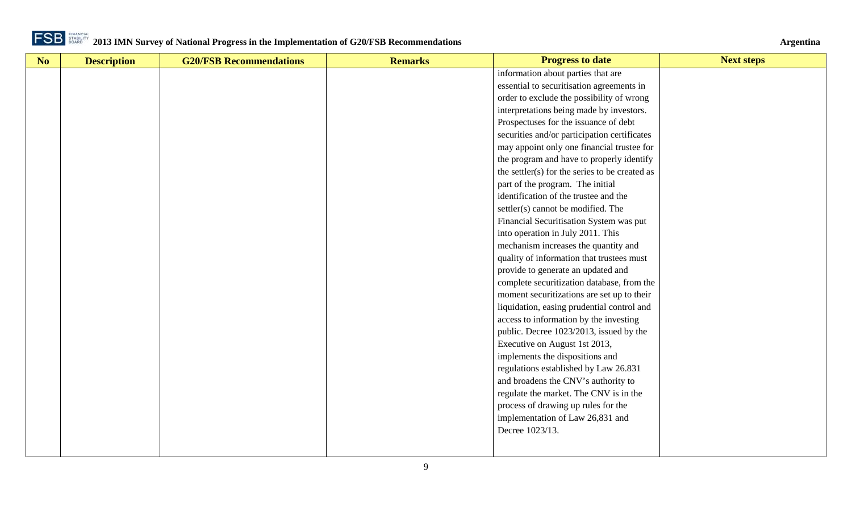

| No | <b>Description</b> | <b>G20/FSB Recommendations</b> | <b>Remarks</b> | <b>Progress to date</b>                        | <b>Next steps</b> |
|----|--------------------|--------------------------------|----------------|------------------------------------------------|-------------------|
|    |                    |                                |                | information about parties that are             |                   |
|    |                    |                                |                | essential to securitisation agreements in      |                   |
|    |                    |                                |                | order to exclude the possibility of wrong      |                   |
|    |                    |                                |                | interpretations being made by investors.       |                   |
|    |                    |                                |                | Prospectuses for the issuance of debt          |                   |
|    |                    |                                |                | securities and/or participation certificates   |                   |
|    |                    |                                |                | may appoint only one financial trustee for     |                   |
|    |                    |                                |                | the program and have to properly identify      |                   |
|    |                    |                                |                | the settler(s) for the series to be created as |                   |
|    |                    |                                |                | part of the program. The initial               |                   |
|    |                    |                                |                | identification of the trustee and the          |                   |
|    |                    |                                |                | settler(s) cannot be modified. The             |                   |
|    |                    |                                |                | Financial Securitisation System was put        |                   |
|    |                    |                                |                | into operation in July 2011. This              |                   |
|    |                    |                                |                | mechanism increases the quantity and           |                   |
|    |                    |                                |                | quality of information that trustees must      |                   |
|    |                    |                                |                | provide to generate an updated and             |                   |
|    |                    |                                |                | complete securitization database, from the     |                   |
|    |                    |                                |                | moment securitizations are set up to their     |                   |
|    |                    |                                |                | liquidation, easing prudential control and     |                   |
|    |                    |                                |                | access to information by the investing         |                   |
|    |                    |                                |                | public. Decree 1023/2013, issued by the        |                   |
|    |                    |                                |                | Executive on August 1st 2013,                  |                   |
|    |                    |                                |                | implements the dispositions and                |                   |
|    |                    |                                |                | regulations established by Law 26.831          |                   |
|    |                    |                                |                | and broadens the CNV's authority to            |                   |
|    |                    |                                |                | regulate the market. The CNV is in the         |                   |
|    |                    |                                |                | process of drawing up rules for the            |                   |
|    |                    |                                |                | implementation of Law 26,831 and               |                   |
|    |                    |                                |                | Decree 1023/13.                                |                   |
|    |                    |                                |                |                                                |                   |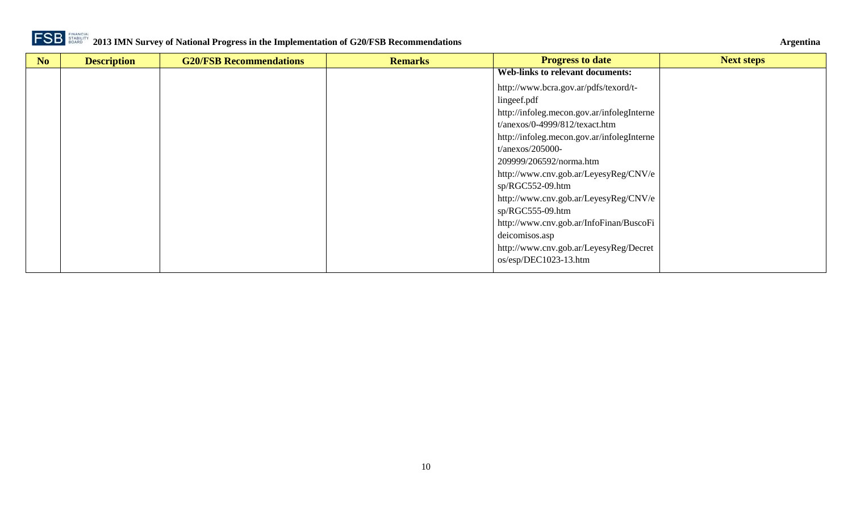

| N <sub>o</sub> | <b>Description</b> | <b>G20/FSB Recommendations</b> | <b>Remarks</b> | <b>Progress to date</b>                    | <b>Next steps</b> |
|----------------|--------------------|--------------------------------|----------------|--------------------------------------------|-------------------|
|                |                    |                                |                | <b>Web-links to relevant documents:</b>    |                   |
|                |                    |                                |                | http://www.bcra.gov.ar/pdfs/texord/t-      |                   |
|                |                    |                                |                | lingeef.pdf                                |                   |
|                |                    |                                |                | http://infoleg.mecon.gov.ar/infolegInterne |                   |
|                |                    |                                |                | $t/anexos/0-4999/812/texact.htm$           |                   |
|                |                    |                                |                | http://infoleg.mecon.gov.ar/infolegInterne |                   |
|                |                    |                                |                | $t/anexos/205000-$                         |                   |
|                |                    |                                |                | 209999/206592/norma.htm                    |                   |
|                |                    |                                |                | http://www.cnv.gob.ar/LeyesyReg/CNV/e      |                   |
|                |                    |                                |                | sp/RGC552-09.htm                           |                   |
|                |                    |                                |                | http://www.cnv.gob.ar/LeyesyReg/CNV/e      |                   |
|                |                    |                                |                | $sp/RGC555-09.htm$                         |                   |
|                |                    |                                |                | http://www.cnv.gob.ar/InfoFinan/BuscoFi    |                   |
|                |                    |                                |                | deicomisos.asp                             |                   |
|                |                    |                                |                | http://www.cnv.gob.ar/LeyesyReg/Decret     |                   |
|                |                    |                                |                | os/esp/DEC1023-13.htm                      |                   |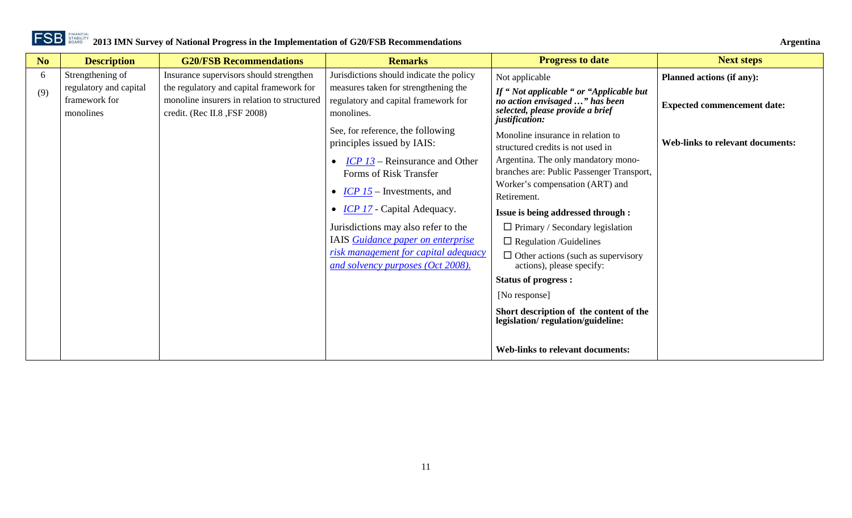| N <sub>o</sub> | <b>Description</b>                                   | <b>G20/FSB Recommendations</b>                                                                                          | <b>Remarks</b>                                                                             | <b>Progress to date</b>                                                                                                         | <b>Next steps</b>                       |
|----------------|------------------------------------------------------|-------------------------------------------------------------------------------------------------------------------------|--------------------------------------------------------------------------------------------|---------------------------------------------------------------------------------------------------------------------------------|-----------------------------------------|
| 6              | Strengthening of                                     | Insurance supervisors should strengthen                                                                                 | Jurisdictions should indicate the policy                                                   | Not applicable                                                                                                                  | <b>Planned actions (if any):</b>        |
| (9)            | regulatory and capital<br>framework for<br>monolines | the regulatory and capital framework for<br>monoline insurers in relation to structured<br>credit. (Rec II.8, FSF 2008) | measures taken for strengthening the<br>regulatory and capital framework for<br>monolines. | If "Not applicable " or "Applicable but<br>no action envisaged " has been<br>selected, please provide a brief<br>justification: | <b>Expected commencement date:</b>      |
|                |                                                      |                                                                                                                         | See, for reference, the following<br>principles issued by IAIS:                            | Monoline insurance in relation to<br>structured credits is not used in                                                          | <b>Web-links to relevant documents:</b> |
|                |                                                      |                                                                                                                         | $ICP$ 13 – Reinsurance and Other<br>Forms of Risk Transfer                                 | Argentina. The only mandatory mono-<br>branches are: Public Passenger Transport,                                                |                                         |
|                |                                                      |                                                                                                                         | • $ICP15$ – Investments, and                                                               | Worker's compensation (ART) and<br>Retirement.                                                                                  |                                         |
|                |                                                      |                                                                                                                         | • <i>ICP 17</i> - Capital Adequacy.                                                        | <b>Issue is being addressed through :</b>                                                                                       |                                         |
|                |                                                      |                                                                                                                         | Jurisdictions may also refer to the                                                        | $\Box$ Primary / Secondary legislation                                                                                          |                                         |
|                |                                                      |                                                                                                                         | IAIS Guidance paper on enterprise                                                          | $\Box$ Regulation /Guidelines                                                                                                   |                                         |
|                |                                                      |                                                                                                                         | risk management for capital adequacy<br>and solvency purposes (Oct 2008).                  | $\Box$ Other actions (such as supervisory<br>actions), please specify:                                                          |                                         |
|                |                                                      |                                                                                                                         |                                                                                            | <b>Status of progress:</b>                                                                                                      |                                         |
|                |                                                      |                                                                                                                         |                                                                                            | [No response]                                                                                                                   |                                         |
|                |                                                      |                                                                                                                         |                                                                                            | Short description of the content of the<br>legislation/regulation/guideline:                                                    |                                         |
|                |                                                      |                                                                                                                         |                                                                                            | <b>Web-links to relevant documents:</b>                                                                                         |                                         |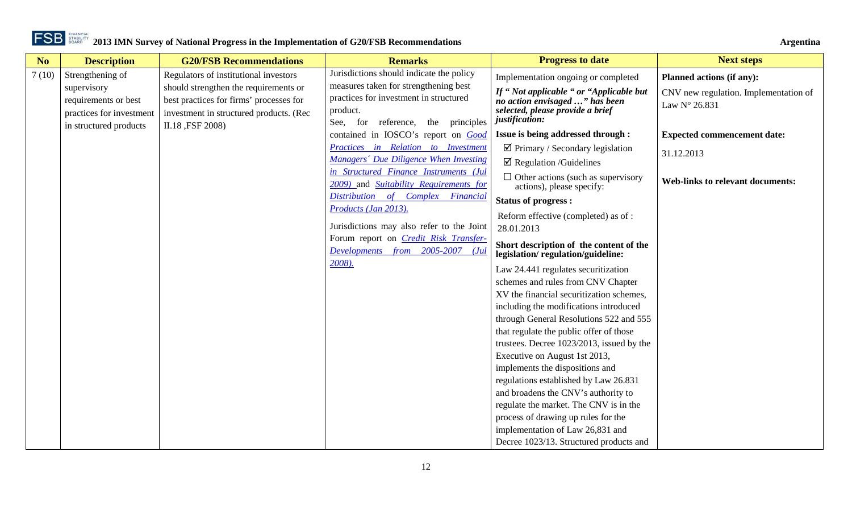| N <sub>o</sub> | <b>Description</b>                                 | <b>G20/FSB Recommendations</b>                              | <b>Remarks</b>                                                                      | <b>Progress to date</b>                                                           | <b>Next steps</b>                       |
|----------------|----------------------------------------------------|-------------------------------------------------------------|-------------------------------------------------------------------------------------|-----------------------------------------------------------------------------------|-----------------------------------------|
| 7(10)          | Strengthening of                                   | Regulators of institutional investors                       | Jurisdictions should indicate the policy                                            | Implementation ongoing or completed                                               | <b>Planned actions (if any):</b>        |
|                | supervisory                                        | should strengthen the requirements or                       | measures taken for strengthening best<br>practices for investment in structured     | If "Not applicable " or "Applicable but                                           | CNV new regulation. Implementation of   |
|                | requirements or best                               | best practices for firms' processes for                     | product.                                                                            | no action envisaged " has been<br>selected, please provide a brief                | Law N° 26.831                           |
|                | practices for investment<br>in structured products | investment in structured products. (Rec<br>II.18, FSF 2008) | See, for reference, the principles                                                  | justification:                                                                    |                                         |
|                |                                                    |                                                             | contained in IOSCO's report on Good                                                 | Issue is being addressed through :                                                | <b>Expected commencement date:</b>      |
|                |                                                    |                                                             | Practices in Relation to Investment                                                 | $\boxtimes$ Primary / Secondary legislation                                       | 31.12.2013                              |
|                |                                                    |                                                             | Managers' Due Diligence When Investing                                              | $\boxtimes$ Regulation /Guidelines                                                |                                         |
|                |                                                    |                                                             | in Structured Finance Instruments (Jul                                              | $\Box$ Other actions (such as supervisory                                         | <b>Web-links to relevant documents:</b> |
|                |                                                    |                                                             | 2009) and Suitability Requirements for                                              | actions), please specify:                                                         |                                         |
|                |                                                    |                                                             | Distribution of Complex Financial<br>Products (Jan 2013).                           | <b>Status of progress:</b>                                                        |                                         |
|                |                                                    |                                                             |                                                                                     | Reform effective (completed) as of :                                              |                                         |
|                |                                                    |                                                             | Jurisdictions may also refer to the Joint                                           | 28.01.2013                                                                        |                                         |
|                |                                                    |                                                             | Forum report on <i>Credit Risk Transfer-</i><br>Developments from 2005-2007<br>(Jul | Short description of the content of the                                           |                                         |
|                |                                                    |                                                             | 2008).                                                                              | legislation/regulation/guideline:                                                 |                                         |
|                |                                                    |                                                             |                                                                                     | Law 24.441 regulates securitization                                               |                                         |
|                |                                                    |                                                             |                                                                                     | schemes and rules from CNV Chapter                                                |                                         |
|                |                                                    |                                                             |                                                                                     | XV the financial securitization schemes,                                          |                                         |
|                |                                                    |                                                             |                                                                                     | including the modifications introduced<br>through General Resolutions 522 and 555 |                                         |
|                |                                                    |                                                             |                                                                                     | that regulate the public offer of those                                           |                                         |
|                |                                                    |                                                             |                                                                                     | trustees. Decree 1023/2013, issued by the                                         |                                         |
|                |                                                    |                                                             |                                                                                     | Executive on August 1st 2013,                                                     |                                         |
|                |                                                    |                                                             |                                                                                     | implements the dispositions and                                                   |                                         |
|                |                                                    |                                                             |                                                                                     | regulations established by Law 26.831                                             |                                         |
|                |                                                    |                                                             |                                                                                     | and broadens the CNV's authority to                                               |                                         |
|                |                                                    |                                                             |                                                                                     | regulate the market. The CNV is in the                                            |                                         |
|                |                                                    |                                                             |                                                                                     | process of drawing up rules for the                                               |                                         |
|                |                                                    |                                                             |                                                                                     | implementation of Law 26,831 and                                                  |                                         |
|                |                                                    |                                                             |                                                                                     | Decree 1023/13. Structured products and                                           |                                         |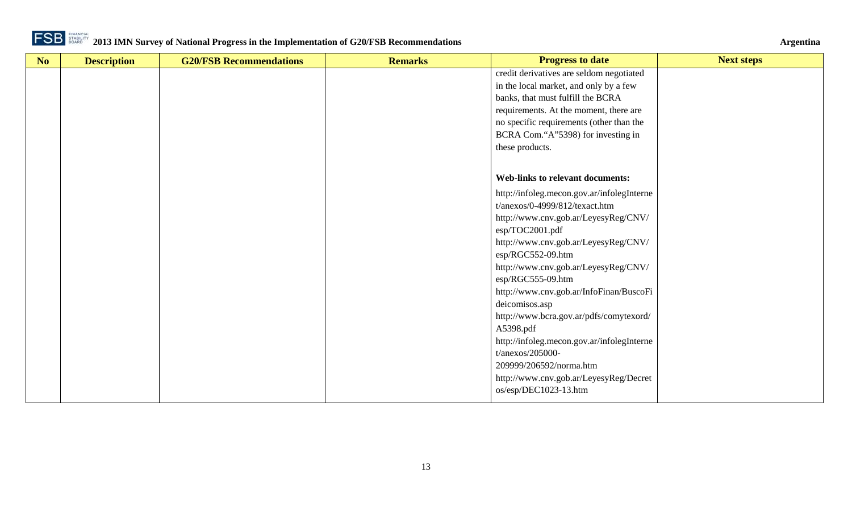

| No | <b>Description</b> | <b>G20/FSB Recommendations</b> | <b>Remarks</b> | <b>Progress to date</b>                    | <b>Next steps</b> |
|----|--------------------|--------------------------------|----------------|--------------------------------------------|-------------------|
|    |                    |                                |                | credit derivatives are seldom negotiated   |                   |
|    |                    |                                |                | in the local market, and only by a few     |                   |
|    |                    |                                |                | banks, that must fulfill the BCRA          |                   |
|    |                    |                                |                | requirements. At the moment, there are     |                   |
|    |                    |                                |                | no specific requirements (other than the   |                   |
|    |                    |                                |                | BCRA Com."A"5398) for investing in         |                   |
|    |                    |                                |                | these products.                            |                   |
|    |                    |                                |                |                                            |                   |
|    |                    |                                |                | <b>Web-links to relevant documents:</b>    |                   |
|    |                    |                                |                | http://infoleg.mecon.gov.ar/infolegInterne |                   |
|    |                    |                                |                | t/anexos/0-4999/812/texact.htm             |                   |
|    |                    |                                |                | http://www.cnv.gob.ar/LeyesyReg/CNV/       |                   |
|    |                    |                                |                | esp/TOC2001.pdf                            |                   |
|    |                    |                                |                | http://www.cnv.gob.ar/LeyesyReg/CNV/       |                   |
|    |                    |                                |                | esp/RGC552-09.htm                          |                   |
|    |                    |                                |                | http://www.cnv.gob.ar/LeyesyReg/CNV/       |                   |
|    |                    |                                |                | esp/RGC555-09.htm                          |                   |
|    |                    |                                |                | http://www.cnv.gob.ar/InfoFinan/BuscoFi    |                   |
|    |                    |                                |                | deicomisos.asp                             |                   |
|    |                    |                                |                | http://www.bcra.gov.ar/pdfs/comytexord/    |                   |
|    |                    |                                |                | A5398.pdf                                  |                   |
|    |                    |                                |                | http://infoleg.mecon.gov.ar/infolegInterne |                   |
|    |                    |                                |                | $t/anexos/205000-$                         |                   |
|    |                    |                                |                | 209999/206592/norma.htm                    |                   |
|    |                    |                                |                | http://www.cnv.gob.ar/LeyesyReg/Decret     |                   |
|    |                    |                                |                | os/esp/DEC1023-13.htm                      |                   |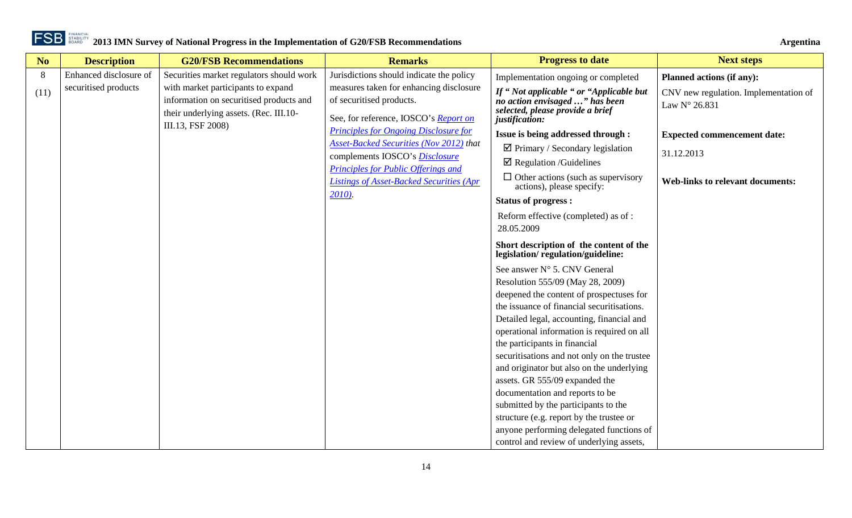| Argentina |  |
|-----------|--|
|           |  |

| N <sub>o</sub> | <b>Description</b>                             | <b>G20/FSB Recommendations</b>                                                                                                                                                           | <b>Remarks</b>                                                                                                                                                                                                                                                                                                               | <b>Progress to date</b>                                                                                                                                                                                                                                                                                                                                                                                                                                                                                                                                                                                                                                                                                                                                                                                                                                                          | <b>Next steps</b>                                                                                                                       |
|----------------|------------------------------------------------|------------------------------------------------------------------------------------------------------------------------------------------------------------------------------------------|------------------------------------------------------------------------------------------------------------------------------------------------------------------------------------------------------------------------------------------------------------------------------------------------------------------------------|----------------------------------------------------------------------------------------------------------------------------------------------------------------------------------------------------------------------------------------------------------------------------------------------------------------------------------------------------------------------------------------------------------------------------------------------------------------------------------------------------------------------------------------------------------------------------------------------------------------------------------------------------------------------------------------------------------------------------------------------------------------------------------------------------------------------------------------------------------------------------------|-----------------------------------------------------------------------------------------------------------------------------------------|
| 8<br>(11)      | Enhanced disclosure of<br>securitised products | Securities market regulators should work<br>with market participants to expand<br>information on securitised products and<br>their underlying assets. (Rec. III.10-<br>III.13, FSF 2008) | Jurisdictions should indicate the policy<br>measures taken for enhancing disclosure<br>of securitised products.<br>See, for reference, IOSCO's Report on<br><b>Principles for Ongoing Disclosure for</b><br>Asset-Backed Securities (Nov 2012) that<br>complements IOSCO's Disclosure<br>Principles for Public Offerings and | Implementation ongoing or completed<br>If "Not applicable " or "Applicable but<br>no action envisaged " has been<br>selected, please provide a brief<br>justification:<br>Issue is being addressed through :<br>$\boxtimes$ Primary / Secondary legislation<br>$\boxtimes$ Regulation /Guidelines                                                                                                                                                                                                                                                                                                                                                                                                                                                                                                                                                                                | Planned actions (if any):<br>CNV new regulation. Implementation of<br>Law N° 26.831<br><b>Expected commencement date:</b><br>31.12.2013 |
|                |                                                |                                                                                                                                                                                          | Listings of Asset-Backed Securities (Apr<br>2010).                                                                                                                                                                                                                                                                           | $\Box$ Other actions (such as supervisory<br>actions), please specify:<br><b>Status of progress:</b><br>Reform effective (completed) as of:<br>28.05.2009<br>Short description of the content of the<br>legislation/regulation/guideline:<br>See answer N° 5. CNV General<br>Resolution 555/09 (May 28, 2009)<br>deepened the content of prospectuses for<br>the issuance of financial securitisations.<br>Detailed legal, accounting, financial and<br>operational information is required on all<br>the participants in financial<br>securitisations and not only on the trustee<br>and originator but also on the underlying<br>assets. GR 555/09 expanded the<br>documentation and reports to be<br>submitted by the participants to the<br>structure (e.g. report by the trustee or<br>anyone performing delegated functions of<br>control and review of underlying assets, | <b>Web-links to relevant documents:</b>                                                                                                 |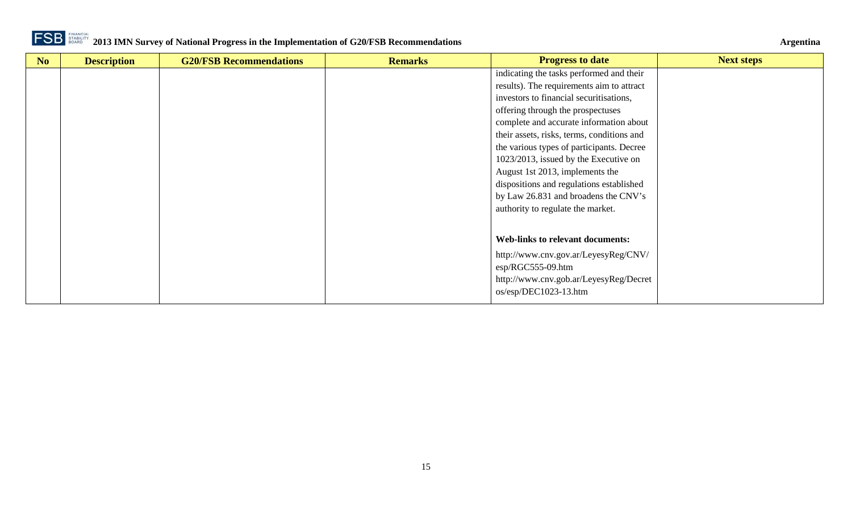

| N <sub>o</sub> | <b>Description</b> | <b>G20/FSB Recommendations</b> | <b>Remarks</b> | <b>Progress to date</b>                    | <b>Next steps</b> |
|----------------|--------------------|--------------------------------|----------------|--------------------------------------------|-------------------|
|                |                    |                                |                | indicating the tasks performed and their   |                   |
|                |                    |                                |                | results). The requirements aim to attract  |                   |
|                |                    |                                |                | investors to financial securitisations,    |                   |
|                |                    |                                |                | offering through the prospectuses          |                   |
|                |                    |                                |                | complete and accurate information about    |                   |
|                |                    |                                |                | their assets, risks, terms, conditions and |                   |
|                |                    |                                |                | the various types of participants. Decree  |                   |
|                |                    |                                |                | 1023/2013, issued by the Executive on      |                   |
|                |                    |                                |                | August 1st 2013, implements the            |                   |
|                |                    |                                |                | dispositions and regulations established   |                   |
|                |                    |                                |                | by Law 26.831 and broadens the CNV's       |                   |
|                |                    |                                |                | authority to regulate the market.          |                   |
|                |                    |                                |                |                                            |                   |
|                |                    |                                |                | <b>Web-links to relevant documents:</b>    |                   |
|                |                    |                                |                | http://www.cnv.gov.ar/LeyesyReg/CNV/       |                   |
|                |                    |                                |                | $\exp$ /RGC555-09.htm                      |                   |
|                |                    |                                |                | http://www.cnv.gob.ar/LeyesyReg/Decret     |                   |
|                |                    |                                |                | $os/esp/DEC1023-13.htm$                    |                   |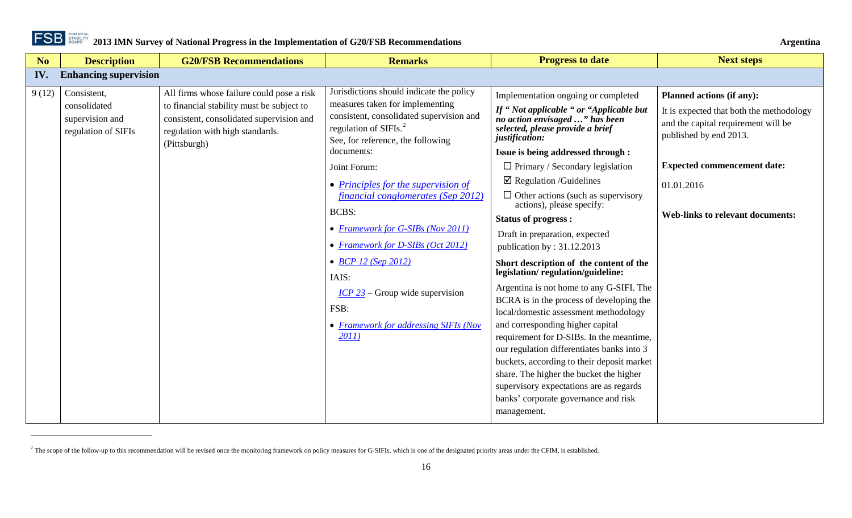

 $\overline{a}$ 

<span id="page-15-1"></span>

<span id="page-15-0"></span>

| N <sub>o</sub> | <b>Description</b>                                                    | <b>G20/FSB Recommendations</b>                                                                                                                                                        | <b>Remarks</b>                                                                                                                                                                                                                                                                                                                                                                                                                                                                                                                                       | <b>Progress to date</b>                                                                                                                                                                                                                                                                                                                                                                                                                                                                                                                                                                                                                                                                                                                                                                                                                                                                                                                                                                                        | <b>Next steps</b>                                                                                                                                                                                                                            |
|----------------|-----------------------------------------------------------------------|---------------------------------------------------------------------------------------------------------------------------------------------------------------------------------------|------------------------------------------------------------------------------------------------------------------------------------------------------------------------------------------------------------------------------------------------------------------------------------------------------------------------------------------------------------------------------------------------------------------------------------------------------------------------------------------------------------------------------------------------------|----------------------------------------------------------------------------------------------------------------------------------------------------------------------------------------------------------------------------------------------------------------------------------------------------------------------------------------------------------------------------------------------------------------------------------------------------------------------------------------------------------------------------------------------------------------------------------------------------------------------------------------------------------------------------------------------------------------------------------------------------------------------------------------------------------------------------------------------------------------------------------------------------------------------------------------------------------------------------------------------------------------|----------------------------------------------------------------------------------------------------------------------------------------------------------------------------------------------------------------------------------------------|
| IV.            | <b>Enhancing supervision</b>                                          |                                                                                                                                                                                       |                                                                                                                                                                                                                                                                                                                                                                                                                                                                                                                                                      |                                                                                                                                                                                                                                                                                                                                                                                                                                                                                                                                                                                                                                                                                                                                                                                                                                                                                                                                                                                                                |                                                                                                                                                                                                                                              |
| 9(12)          | Consistent,<br>consolidated<br>supervision and<br>regulation of SIFIs | All firms whose failure could pose a risk<br>to financial stability must be subject to<br>consistent, consolidated supervision and<br>regulation with high standards.<br>(Pittsburgh) | Jurisdictions should indicate the policy<br>measures taken for implementing<br>consistent, consolidated supervision and<br>regulation of SIFIs. <sup>2</sup><br>See, for reference, the following<br>documents:<br>Joint Forum:<br>$\bullet$ Principles for the supervision of<br>financial conglomerates (Sep 2012)<br><b>BCBS:</b><br>• Framework for G-SIBs (Nov 2011)<br>• Framework for D-SIBs (Oct 2012)<br>• <b>BCP</b> 12 (Sep 2012)<br>IAIS:<br>$ICP$ 23 – Group wide supervision<br>FSB:<br>• Framework for addressing SIFIs (Nov<br>2011) | Implementation ongoing or completed<br>If "Not applicable " or "Applicable but<br>no action envisaged " has been<br>selected, please provide a brief<br>justification:<br>Issue is being addressed through :<br>$\Box$ Primary / Secondary legislation<br>$\boxtimes$ Regulation /Guidelines<br>$\Box$ Other actions (such as supervisory<br>actions), please specify:<br><b>Status of progress:</b><br>Draft in preparation, expected<br>publication by: 31.12.2013<br>Short description of the content of the<br>legislation/regulation/guideline:<br>Argentina is not home to any G-SIFI. The<br>BCRA is in the process of developing the<br>local/domestic assessment methodology<br>and corresponding higher capital<br>requirement for D-SIBs. In the meantime,<br>our regulation differentiates banks into 3<br>buckets, according to their deposit market<br>share. The higher the bucket the higher<br>supervisory expectations are as regards<br>banks' corporate governance and risk<br>management. | <b>Planned actions (if any):</b><br>It is expected that both the methodology<br>and the capital requirement will be<br>published by end 2013.<br><b>Expected commencement date:</b><br>01.01.2016<br><b>Web-links to relevant documents:</b> |

 $2$  The scope of the follow-up to this recommendation will be revised once the monitoring framework on policy measures for G-SIFIs, which is one of the designated priority areas under the CFIM, is established.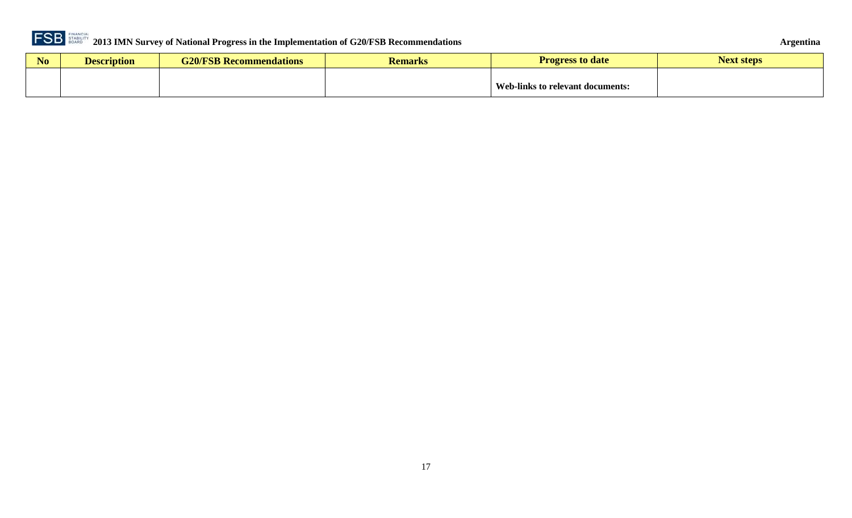

| No | scription | $\sqrt{2}$<br><b>SB Recommendations</b><br>,,,, | Kemarks | Progres<br>to date ;             | vext steps |
|----|-----------|-------------------------------------------------|---------|----------------------------------|------------|
|    |           |                                                 |         |                                  |            |
|    |           |                                                 |         | Web-links to relevant documents: |            |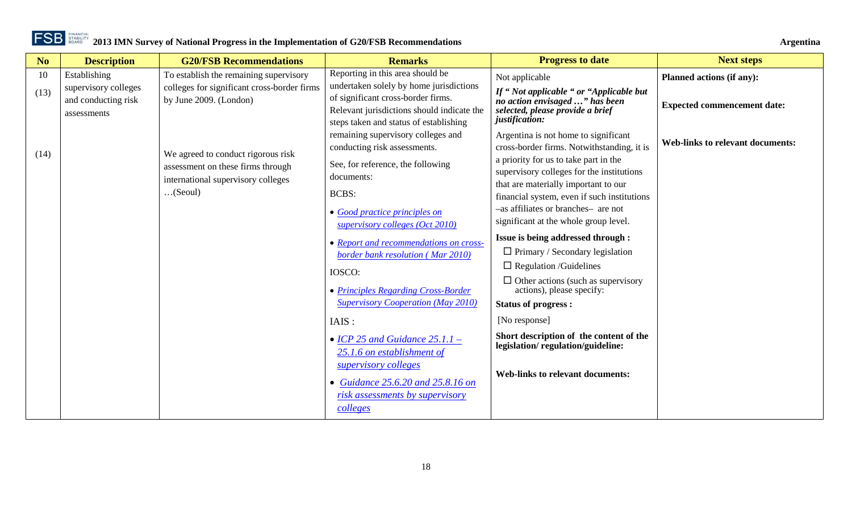

| N <sub>o</sub> | <b>Description</b>                                         | <b>G20/FSB Recommendations</b>                                          | <b>Remarks</b>                                                                                                                                                        | <b>Progress to date</b>                                                                                                          | <b>Next steps</b>                       |
|----------------|------------------------------------------------------------|-------------------------------------------------------------------------|-----------------------------------------------------------------------------------------------------------------------------------------------------------------------|----------------------------------------------------------------------------------------------------------------------------------|-----------------------------------------|
| 10             | Establishing                                               | To establish the remaining supervisory                                  | Reporting in this area should be                                                                                                                                      | Not applicable                                                                                                                   | Planned actions (if any):               |
| (13)           | supervisory colleges<br>and conducting risk<br>assessments | colleges for significant cross-border firms<br>by June 2009. (London)   | undertaken solely by home jurisdictions<br>of significant cross-border firms.<br>Relevant jurisdictions should indicate the<br>steps taken and status of establishing | If "Not applicable " or "Applicable but<br>no action envisaged " has been<br>selected, please provide a brief<br>justification:  | <b>Expected commencement date:</b>      |
| (14)           |                                                            | We agreed to conduct rigorous risk<br>assessment on these firms through | remaining supervisory colleges and<br>conducting risk assessments.<br>See, for reference, the following                                                               | Argentina is not home to significant<br>cross-border firms. Notwithstanding, it is<br>a priority for us to take part in the      | <b>Web-links to relevant documents:</b> |
|                |                                                            | international supervisory colleges<br>(Seoul)                           | documents:<br><b>BCBS:</b>                                                                                                                                            | supervisory colleges for the institutions<br>that are materially important to our<br>financial system, even if such institutions |                                         |
|                |                                                            |                                                                         | • Good practice principles on<br>supervisory colleges (Oct 2010)                                                                                                      | -as affiliates or branches- are not<br>significant at the whole group level.                                                     |                                         |
|                |                                                            |                                                                         | • Report and recommendations on cross-<br>border bank resolution (Mar 2010)                                                                                           | Issue is being addressed through :<br>$\Box$ Primary / Secondary legislation                                                     |                                         |
|                |                                                            |                                                                         | IOSCO:                                                                                                                                                                | $\Box$ Regulation /Guidelines                                                                                                    |                                         |
|                |                                                            |                                                                         | • Principles Regarding Cross-Border<br><b>Supervisory Cooperation (May 2010)</b>                                                                                      | $\Box$ Other actions (such as supervisory<br>actions), please specify:<br><b>Status of progress:</b>                             |                                         |
|                |                                                            |                                                                         | IAIS:                                                                                                                                                                 | [No response]                                                                                                                    |                                         |
|                |                                                            |                                                                         | • ICP 25 and Guidance $25.1.1$ -<br>25.1.6 on establishment of<br>supervisory colleges                                                                                | Short description of the content of the<br>legislation/regulation/guideline:                                                     |                                         |
|                |                                                            |                                                                         | • Guidance $25.6.20$ and $25.8.16$ on<br>risk assessments by supervisory<br>colleges                                                                                  | <b>Web-links to relevant documents:</b>                                                                                          |                                         |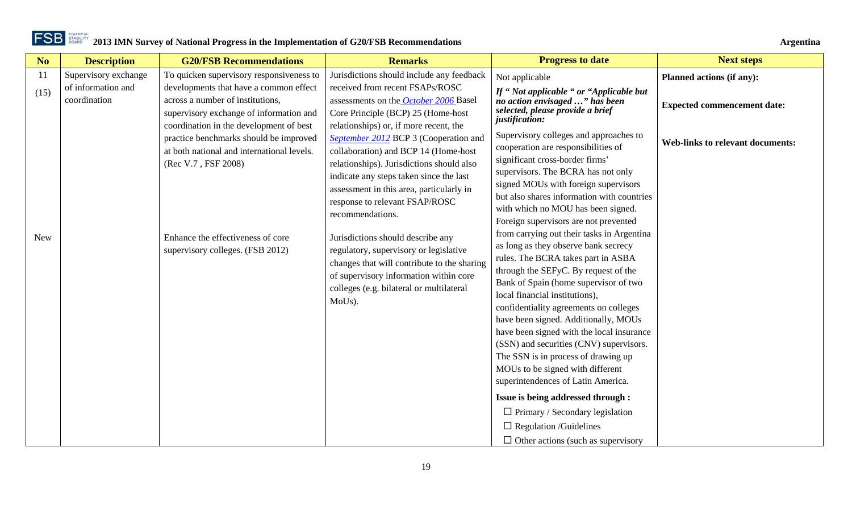| No         | <b>Description</b>                 | <b>G20/FSB Recommendations</b>                                                                                                                                   | <b>Remarks</b>                                                                                                                                                                                                                                                          | <b>Progress to date</b>                                                                                                                                                                                                                                                                                                                                                                                                                                                                                                                                                         | <b>Next steps</b>                       |
|------------|------------------------------------|------------------------------------------------------------------------------------------------------------------------------------------------------------------|-------------------------------------------------------------------------------------------------------------------------------------------------------------------------------------------------------------------------------------------------------------------------|---------------------------------------------------------------------------------------------------------------------------------------------------------------------------------------------------------------------------------------------------------------------------------------------------------------------------------------------------------------------------------------------------------------------------------------------------------------------------------------------------------------------------------------------------------------------------------|-----------------------------------------|
| 11         | Supervisory exchange               | To quicken supervisory responsiveness to                                                                                                                         | Jurisdictions should include any feedback                                                                                                                                                                                                                               | Not applicable                                                                                                                                                                                                                                                                                                                                                                                                                                                                                                                                                                  | Planned actions (if any):               |
| (15)       | of information and<br>coordination | developments that have a common effect<br>across a number of institutions,<br>supervisory exchange of information and<br>coordination in the development of best | received from recent FSAPs/ROSC<br>assessments on the October 2006 Basel<br>Core Principle (BCP) 25 (Home-host<br>relationships) or, if more recent, the                                                                                                                | If "Not applicable " or "Applicable but<br>no action envisaged " has been<br>selected, please provide a brief<br>justification:                                                                                                                                                                                                                                                                                                                                                                                                                                                 | <b>Expected commencement date:</b>      |
|            |                                    | practice benchmarks should be improved<br>at both national and international levels.<br>(Rec V.7, FSF 2008)                                                      | September 2012 BCP 3 (Cooperation and<br>collaboration) and BCP 14 (Home-host<br>relationships). Jurisdictions should also<br>indicate any steps taken since the last<br>assessment in this area, particularly in<br>response to relevant FSAP/ROSC<br>recommendations. | Supervisory colleges and approaches to<br>cooperation are responsibilities of<br>significant cross-border firms'<br>supervisors. The BCRA has not only<br>signed MOUs with foreign supervisors<br>but also shares information with countries<br>with which no MOU has been signed.                                                                                                                                                                                                                                                                                              | <b>Web-links to relevant documents:</b> |
| <b>New</b> |                                    | Enhance the effectiveness of core<br>supervisory colleges. (FSB 2012)                                                                                            | Jurisdictions should describe any<br>regulatory, supervisory or legislative<br>changes that will contribute to the sharing<br>of supervisory information within core<br>colleges (e.g. bilateral or multilateral<br>MoUs).                                              | Foreign supervisors are not prevented<br>from carrying out their tasks in Argentina<br>as long as they observe bank secrecy<br>rules. The BCRA takes part in ASBA<br>through the SEFyC. By request of the<br>Bank of Spain (home supervisor of two<br>local financial institutions),<br>confidentiality agreements on colleges<br>have been signed. Additionally, MOUs<br>have been signed with the local insurance<br>(SSN) and securities (CNV) supervisors.<br>The SSN is in process of drawing up<br>MOUs to be signed with different<br>superintendences of Latin America. |                                         |
|            |                                    |                                                                                                                                                                  |                                                                                                                                                                                                                                                                         | Issue is being addressed through :<br>$\Box$ Primary / Secondary legislation<br>$\Box$ Regulation /Guidelines<br>$\Box$ Other actions (such as supervisory                                                                                                                                                                                                                                                                                                                                                                                                                      |                                         |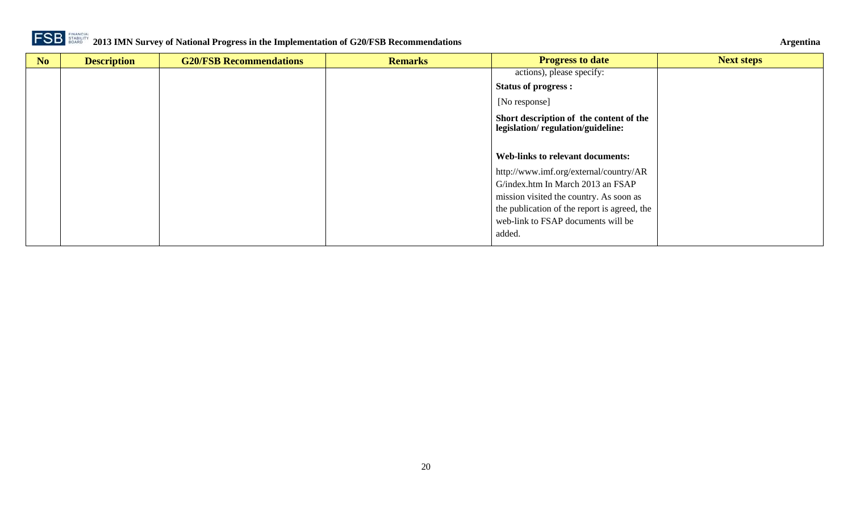

| N <sub>o</sub> | <b>Description</b> | <b>G20/FSB Recommendations</b> | <b>Remarks</b> | <b>Progress to date</b>                                                      | <b>Next steps</b> |
|----------------|--------------------|--------------------------------|----------------|------------------------------------------------------------------------------|-------------------|
|                |                    |                                |                | actions), please specify:                                                    |                   |
|                |                    |                                |                | <b>Status of progress:</b>                                                   |                   |
|                |                    |                                |                | [No response]                                                                |                   |
|                |                    |                                |                | Short description of the content of the<br>legislation/regulation/guideline: |                   |
|                |                    |                                |                |                                                                              |                   |
|                |                    |                                |                | <b>Web-links to relevant documents:</b>                                      |                   |
|                |                    |                                |                | http://www.imf.org/external/country/AR                                       |                   |
|                |                    |                                |                | G/index.htm In March 2013 an FSAP                                            |                   |
|                |                    |                                |                | mission visited the country. As soon as                                      |                   |
|                |                    |                                |                | the publication of the report is agreed, the                                 |                   |
|                |                    |                                |                | web-link to FSAP documents will be                                           |                   |
|                |                    |                                |                | added.                                                                       |                   |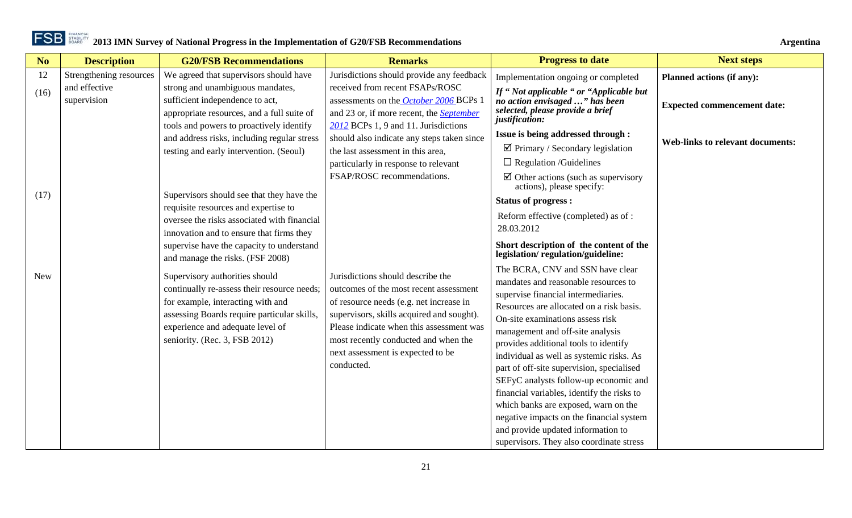| N <sub>o</sub> | <b>Description</b>      | <b>G20/FSB Recommendations</b>                                                    | <b>Remarks</b>                                                              | <b>Progress to date</b>                                                            | <b>Next steps</b>                       |
|----------------|-------------------------|-----------------------------------------------------------------------------------|-----------------------------------------------------------------------------|------------------------------------------------------------------------------------|-----------------------------------------|
| 12             | Strengthening resources | We agreed that supervisors should have                                            | Jurisdictions should provide any feedback                                   | Implementation ongoing or completed                                                | <b>Planned actions (if any):</b>        |
| (16)           | and effective           | strong and unambiguous mandates,                                                  | received from recent FSAPs/ROSC                                             | If "Not applicable " or "Applicable but                                            |                                         |
|                | supervision             | sufficient independence to act,                                                   | assessments on the October 2006 BCPs 1                                      | no action envisaged " has been<br>selected, please provide a brief                 | <b>Expected commencement date:</b>      |
|                |                         | appropriate resources, and a full suite of                                        | and 23 or, if more recent, the <b>September</b>                             | justification:                                                                     |                                         |
|                |                         | tools and powers to proactively identify                                          | 2012 BCPs 1, 9 and 11. Jurisdictions                                        | Issue is being addressed through :                                                 |                                         |
|                |                         | and address risks, including regular stress                                       | should also indicate any steps taken since                                  | $\boxtimes$ Primary / Secondary legislation                                        | <b>Web-links to relevant documents:</b> |
|                |                         | testing and early intervention. (Seoul)                                           | the last assessment in this area,                                           |                                                                                    |                                         |
|                |                         |                                                                                   | particularly in response to relevant                                        | $\Box$ Regulation /Guidelines                                                      |                                         |
|                |                         |                                                                                   | FSAP/ROSC recommendations.                                                  | $\boxtimes$ Other actions (such as supervisory<br>actions), please specify:        |                                         |
| (17)           |                         | Supervisors should see that they have the<br>requisite resources and expertise to |                                                                             | <b>Status of progress:</b>                                                         |                                         |
|                |                         | oversee the risks associated with financial                                       |                                                                             | Reform effective (completed) as of:                                                |                                         |
|                |                         | innovation and to ensure that firms they                                          |                                                                             | 28.03.2012                                                                         |                                         |
|                |                         | supervise have the capacity to understand<br>and manage the risks. (FSF 2008)     |                                                                             | Short description of the content of the<br>legislation/regulation/guideline:       |                                         |
|                |                         |                                                                                   |                                                                             | The BCRA, CNV and SSN have clear                                                   |                                         |
| <b>New</b>     |                         | Supervisory authorities should                                                    | Jurisdictions should describe the<br>outcomes of the most recent assessment | mandates and reasonable resources to                                               |                                         |
|                |                         | continually re-assess their resource needs;<br>for example, interacting with and  | of resource needs (e.g. net increase in                                     | supervise financial intermediaries.                                                |                                         |
|                |                         | assessing Boards require particular skills,                                       | supervisors, skills acquired and sought).                                   | Resources are allocated on a risk basis.                                           |                                         |
|                |                         | experience and adequate level of                                                  | Please indicate when this assessment was                                    | On-site examinations assess risk                                                   |                                         |
|                |                         | seniority. (Rec. 3, FSB 2012)                                                     | most recently conducted and when the                                        | management and off-site analysis                                                   |                                         |
|                |                         |                                                                                   | next assessment is expected to be                                           | provides additional tools to identify                                              |                                         |
|                |                         |                                                                                   | conducted.                                                                  | individual as well as systemic risks. As                                           |                                         |
|                |                         |                                                                                   |                                                                             | part of off-site supervision, specialised                                          |                                         |
|                |                         |                                                                                   |                                                                             | SEFyC analysts follow-up economic and                                              |                                         |
|                |                         |                                                                                   |                                                                             | financial variables, identify the risks to<br>which banks are exposed, warn on the |                                         |
|                |                         |                                                                                   |                                                                             | negative impacts on the financial system                                           |                                         |
|                |                         |                                                                                   |                                                                             | and provide updated information to                                                 |                                         |
|                |                         |                                                                                   |                                                                             | supervisors. They also coordinate stress                                           |                                         |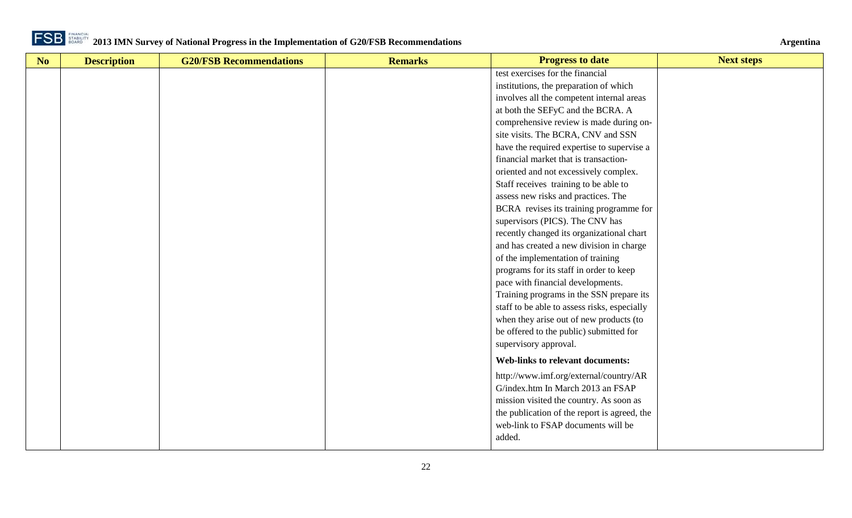

| No | <b>Description</b> | <b>G20/FSB Recommendations</b> | <b>Remarks</b> | <b>Progress to date</b>                      | <b>Next steps</b> |
|----|--------------------|--------------------------------|----------------|----------------------------------------------|-------------------|
|    |                    |                                |                | test exercises for the financial             |                   |
|    |                    |                                |                | institutions, the preparation of which       |                   |
|    |                    |                                |                | involves all the competent internal areas    |                   |
|    |                    |                                |                | at both the SEFyC and the BCRA. A            |                   |
|    |                    |                                |                | comprehensive review is made during on-      |                   |
|    |                    |                                |                | site visits. The BCRA, CNV and SSN           |                   |
|    |                    |                                |                | have the required expertise to supervise a   |                   |
|    |                    |                                |                | financial market that is transaction-        |                   |
|    |                    |                                |                | oriented and not excessively complex.        |                   |
|    |                    |                                |                | Staff receives training to be able to        |                   |
|    |                    |                                |                | assess new risks and practices. The          |                   |
|    |                    |                                |                | BCRA revises its training programme for      |                   |
|    |                    |                                |                | supervisors (PICS). The CNV has              |                   |
|    |                    |                                |                | recently changed its organizational chart    |                   |
|    |                    |                                |                | and has created a new division in charge     |                   |
|    |                    |                                |                | of the implementation of training            |                   |
|    |                    |                                |                | programs for its staff in order to keep      |                   |
|    |                    |                                |                | pace with financial developments.            |                   |
|    |                    |                                |                | Training programs in the SSN prepare its     |                   |
|    |                    |                                |                | staff to be able to assess risks, especially |                   |
|    |                    |                                |                | when they arise out of new products (to      |                   |
|    |                    |                                |                | be offered to the public) submitted for      |                   |
|    |                    |                                |                | supervisory approval.                        |                   |
|    |                    |                                |                | <b>Web-links to relevant documents:</b>      |                   |
|    |                    |                                |                | http://www.imf.org/external/country/AR       |                   |
|    |                    |                                |                | G/index.htm In March 2013 an FSAP            |                   |
|    |                    |                                |                | mission visited the country. As soon as      |                   |
|    |                    |                                |                | the publication of the report is agreed, the |                   |
|    |                    |                                |                | web-link to FSAP documents will be           |                   |
|    |                    |                                |                | added.                                       |                   |
|    |                    |                                |                |                                              |                   |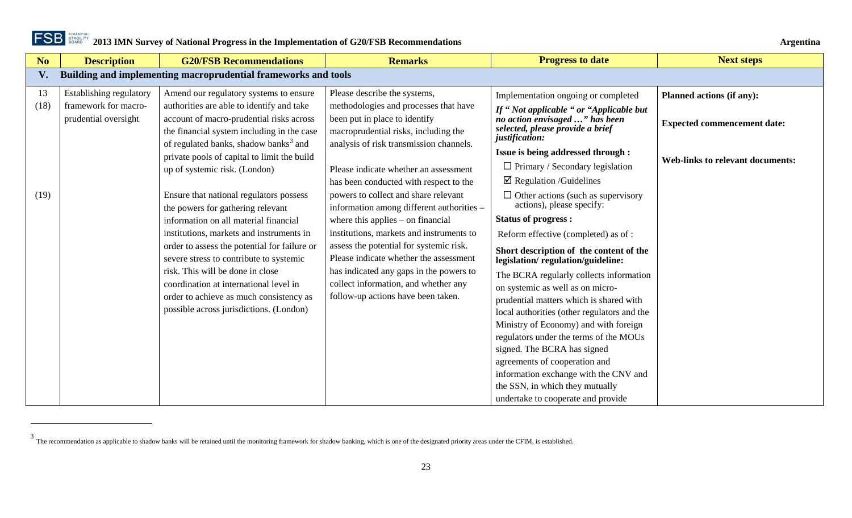

 $\overline{a}$ 

<span id="page-22-1"></span>

<span id="page-22-0"></span>

| No         | <b>Description</b>                              | <b>G20/FSB Recommendations</b>                                                                                                                                   | <b>Remarks</b>                                                                                                              | <b>Progress to date</b>                                                                                                        | <b>Next steps</b>                       |
|------------|-------------------------------------------------|------------------------------------------------------------------------------------------------------------------------------------------------------------------|-----------------------------------------------------------------------------------------------------------------------------|--------------------------------------------------------------------------------------------------------------------------------|-----------------------------------------|
| V.         |                                                 | Building and implementing macroprudential frameworks and tools                                                                                                   |                                                                                                                             |                                                                                                                                |                                         |
| 13<br>(18) | Establishing regulatory<br>framework for macro- | Amend our regulatory systems to ensure<br>authorities are able to identify and take                                                                              | Please describe the systems,<br>methodologies and processes that have                                                       | Implementation ongoing or completed<br>If "Not applicable " or "Applicable but                                                 | <b>Planned actions (if any):</b>        |
|            | prudential oversight                            | account of macro-prudential risks across<br>the financial system including in the case<br>of regulated banks, shadow banks <sup>3</sup> and                      | been put in place to identify<br>macroprudential risks, including the<br>analysis of risk transmission channels.            | no action envisaged " has been<br>selected, please provide a brief<br>justification:                                           | <b>Expected commencement date:</b>      |
|            |                                                 | private pools of capital to limit the build<br>up of systemic risk. (London)                                                                                     | Please indicate whether an assessment                                                                                       | Issue is being addressed through :<br>$\Box$ Primary / Secondary legislation<br>$\boxtimes$ Regulation /Guidelines             | <b>Web-links to relevant documents:</b> |
| (19)       |                                                 | Ensure that national regulators possess<br>the powers for gathering relevant                                                                                     | has been conducted with respect to the<br>powers to collect and share relevant<br>information among different authorities - | $\Box$ Other actions (such as supervisory<br>actions), please specify:                                                         |                                         |
|            |                                                 | information on all material financial                                                                                                                            | where this applies $-$ on financial                                                                                         | <b>Status of progress:</b>                                                                                                     |                                         |
|            |                                                 | institutions, markets and instruments in                                                                                                                         | institutions, markets and instruments to                                                                                    | Reform effective (completed) as of:                                                                                            |                                         |
|            |                                                 | order to assess the potential for failure or<br>severe stress to contribute to systemic                                                                          | assess the potential for systemic risk.<br>Please indicate whether the assessment                                           | Short description of the content of the<br>legislation/regulation/guideline:                                                   |                                         |
|            |                                                 | risk. This will be done in close<br>coordination at international level in<br>order to achieve as much consistency as<br>possible across jurisdictions. (London) | has indicated any gaps in the powers to<br>collect information, and whether any<br>follow-up actions have been taken.       | The BCRA regularly collects information<br>on systemic as well as on micro-<br>prudential matters which is shared with         |                                         |
|            |                                                 |                                                                                                                                                                  |                                                                                                                             | local authorities (other regulators and the<br>Ministry of Economy) and with foreign<br>regulators under the terms of the MOUs |                                         |
|            |                                                 |                                                                                                                                                                  |                                                                                                                             | signed. The BCRA has signed<br>agreements of cooperation and<br>information exchange with the CNV and                          |                                         |
|            |                                                 |                                                                                                                                                                  |                                                                                                                             | the SSN, in which they mutually<br>undertake to cooperate and provide                                                          |                                         |

 $3$  The recommendation as applicable to shadow banks will be retained until the monitoring framework for shadow banking, which is one of the designated priority areas under the CFIM, is established.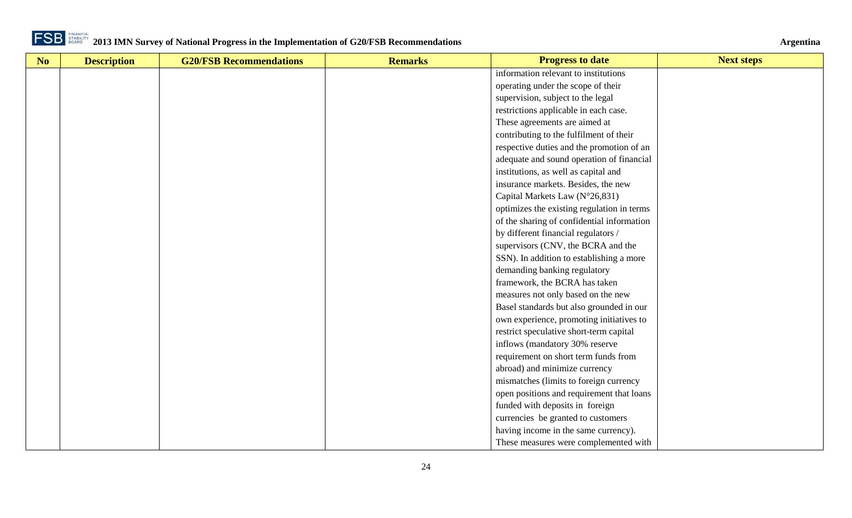

| No | <b>Description</b> | <b>G20/FSB Recommendations</b> | <b>Remarks</b> | <b>Progress to date</b>                    | <b>Next steps</b> |
|----|--------------------|--------------------------------|----------------|--------------------------------------------|-------------------|
|    |                    |                                |                | information relevant to institutions       |                   |
|    |                    |                                |                | operating under the scope of their         |                   |
|    |                    |                                |                | supervision, subject to the legal          |                   |
|    |                    |                                |                | restrictions applicable in each case.      |                   |
|    |                    |                                |                | These agreements are aimed at              |                   |
|    |                    |                                |                | contributing to the fulfilment of their    |                   |
|    |                    |                                |                | respective duties and the promotion of an  |                   |
|    |                    |                                |                | adequate and sound operation of financial  |                   |
|    |                    |                                |                | institutions, as well as capital and       |                   |
|    |                    |                                |                | insurance markets. Besides, the new        |                   |
|    |                    |                                |                | Capital Markets Law (N°26,831)             |                   |
|    |                    |                                |                | optimizes the existing regulation in terms |                   |
|    |                    |                                |                | of the sharing of confidential information |                   |
|    |                    |                                |                | by different financial regulators /        |                   |
|    |                    |                                |                | supervisors (CNV, the BCRA and the         |                   |
|    |                    |                                |                | SSN). In addition to establishing a more   |                   |
|    |                    |                                |                | demanding banking regulatory               |                   |
|    |                    |                                |                | framework, the BCRA has taken              |                   |
|    |                    |                                |                | measures not only based on the new         |                   |
|    |                    |                                |                | Basel standards but also grounded in our   |                   |
|    |                    |                                |                | own experience, promoting initiatives to   |                   |
|    |                    |                                |                | restrict speculative short-term capital    |                   |
|    |                    |                                |                | inflows (mandatory 30% reserve             |                   |
|    |                    |                                |                | requirement on short term funds from       |                   |
|    |                    |                                |                | abroad) and minimize currency              |                   |
|    |                    |                                |                | mismatches (limits to foreign currency     |                   |
|    |                    |                                |                | open positions and requirement that loans  |                   |
|    |                    |                                |                | funded with deposits in foreign            |                   |
|    |                    |                                |                | currencies be granted to customers         |                   |
|    |                    |                                |                | having income in the same currency).       |                   |
|    |                    |                                |                | These measures were complemented with      |                   |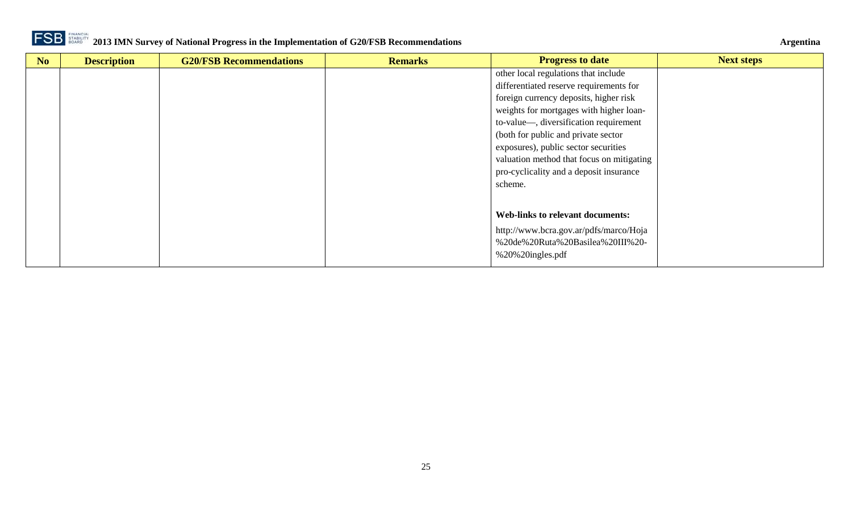

| No | <b>Description</b> | <b>G20/FSB Recommendations</b> | <b>Remarks</b> | <b>Progress to date</b>                   | <b>Next steps</b> |
|----|--------------------|--------------------------------|----------------|-------------------------------------------|-------------------|
|    |                    |                                |                | other local regulations that include      |                   |
|    |                    |                                |                | differentiated reserve requirements for   |                   |
|    |                    |                                |                | foreign currency deposits, higher risk    |                   |
|    |                    |                                |                | weights for mortgages with higher loan-   |                   |
|    |                    |                                |                | to-value—, diversification requirement    |                   |
|    |                    |                                |                | (both for public and private sector       |                   |
|    |                    |                                |                | exposures), public sector securities      |                   |
|    |                    |                                |                | valuation method that focus on mitigating |                   |
|    |                    |                                |                | pro-cyclicality and a deposit insurance   |                   |
|    |                    |                                |                | scheme.                                   |                   |
|    |                    |                                |                |                                           |                   |
|    |                    |                                |                |                                           |                   |
|    |                    |                                |                | <b>Web-links to relevant documents:</b>   |                   |
|    |                    |                                |                | http://www.bcra.gov.ar/pdfs/marco/Hoja    |                   |
|    |                    |                                |                | %20de%20Ruta%20Basilea%20III%20-          |                   |
|    |                    |                                |                | %20%20ingles.pdf                          |                   |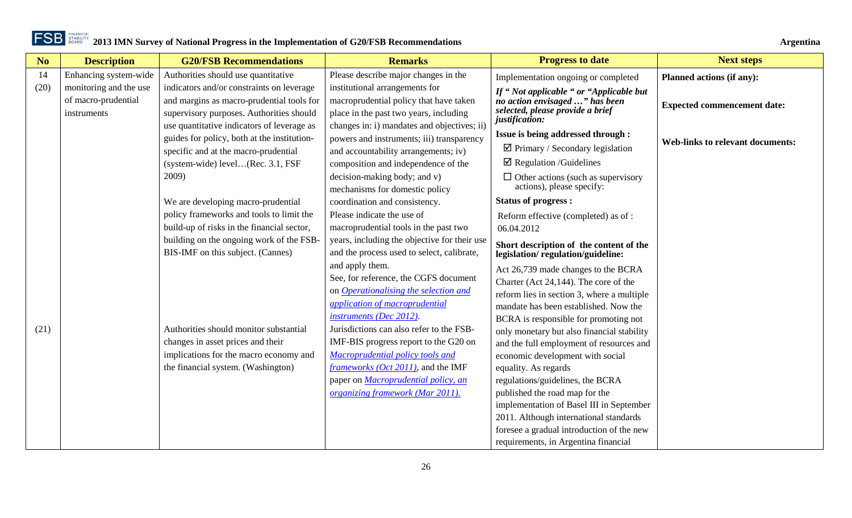| N <sub>o</sub> | <b>Description</b>     | <b>G20/FSB Recommendations</b>              | <b>Remarks</b>                               | <b>Progress to date</b>                                                              | <b>Next steps</b>                       |
|----------------|------------------------|---------------------------------------------|----------------------------------------------|--------------------------------------------------------------------------------------|-----------------------------------------|
| 14             | Enhancing system-wide  | Authorities should use quantitative         | Please describe major changes in the         | Implementation ongoing or completed                                                  | Planned actions (if any):               |
| (20)           | monitoring and the use | indicators and/or constraints on leverage   | institutional arrangements for               | If "Not applicable " or "Applicable but                                              |                                         |
|                | of macro-prudential    | and margins as macro-prudential tools for   | macroprudential policy that have taken       | no action envisaged " has been<br>selected, please provide a brief<br>justification: | <b>Expected commencement date:</b>      |
|                | instruments            | supervisory purposes. Authorities should    | place in the past two years, including       |                                                                                      |                                         |
|                |                        | use quantitative indicators of leverage as  | changes in: i) mandates and objectives; ii)  |                                                                                      |                                         |
|                |                        | guides for policy, both at the institution- | powers and instruments; iii) transparency    | Issue is being addressed through :                                                   | <b>Web-links to relevant documents:</b> |
|                |                        | specific and at the macro-prudential        | and accountability arrangements; iv)         | $\boxtimes$ Primary / Secondary legislation                                          |                                         |
|                |                        | (system-wide) level(Rec. 3.1, FSF           | composition and independence of the          | $\boxtimes$ Regulation /Guidelines                                                   |                                         |
|                |                        | 2009)                                       | decision-making body; and v)                 | $\Box$ Other actions (such as supervisory                                            |                                         |
|                |                        |                                             | mechanisms for domestic policy               | actions), please specify:                                                            |                                         |
|                |                        | We are developing macro-prudential          | coordination and consistency.                | <b>Status of progress:</b>                                                           |                                         |
|                |                        | policy frameworks and tools to limit the    | Please indicate the use of                   | Reform effective (completed) as of:                                                  |                                         |
|                |                        | build-up of risks in the financial sector,  | macroprudential tools in the past two        | 06.04.2012                                                                           |                                         |
|                |                        | building on the ongoing work of the FSB-    | years, including the objective for their use | Short description of the content of the                                              |                                         |
|                |                        | BIS-IMF on this subject. (Cannes)           | and the process used to select, calibrate,   | legislation/regulation/guideline:                                                    |                                         |
|                |                        |                                             | and apply them.                              | Act 26,739 made changes to the BCRA                                                  |                                         |
|                |                        |                                             | See, for reference, the CGFS document        | Charter (Act 24,144). The core of the                                                |                                         |
|                |                        |                                             | on <i>Operationalising the selection and</i> | reform lies in section 3, where a multiple                                           |                                         |
|                |                        |                                             | application of macroprudential               | mandate has been established. Now the                                                |                                         |
|                |                        |                                             | instruments (Dec 2012).                      | BCRA is responsible for promoting not                                                |                                         |
| (21)           |                        | Authorities should monitor substantial      | Jurisdictions can also refer to the FSB-     | only monetary but also financial stability                                           |                                         |
|                |                        | changes in asset prices and their           | IMF-BIS progress report to the G20 on        | and the full employment of resources and                                             |                                         |
|                |                        | implications for the macro economy and      | Macroprudential policy tools and             | economic development with social                                                     |                                         |
|                |                        | the financial system. (Washington)          | <i>frameworks (Oct 2011)</i> , and the IMF   | equality. As regards                                                                 |                                         |
|                |                        |                                             | paper on <b>Macroprudential policy</b> , an  | regulations/guidelines, the BCRA                                                     |                                         |
|                |                        |                                             | organizing framework (Mar 2011).             | published the road map for the                                                       |                                         |
|                |                        |                                             |                                              | implementation of Basel III in September                                             |                                         |
|                |                        |                                             |                                              | 2011. Although international standards                                               |                                         |
|                |                        |                                             |                                              | foresee a gradual introduction of the new                                            |                                         |
|                |                        |                                             |                                              | requirements, in Argentina financial                                                 |                                         |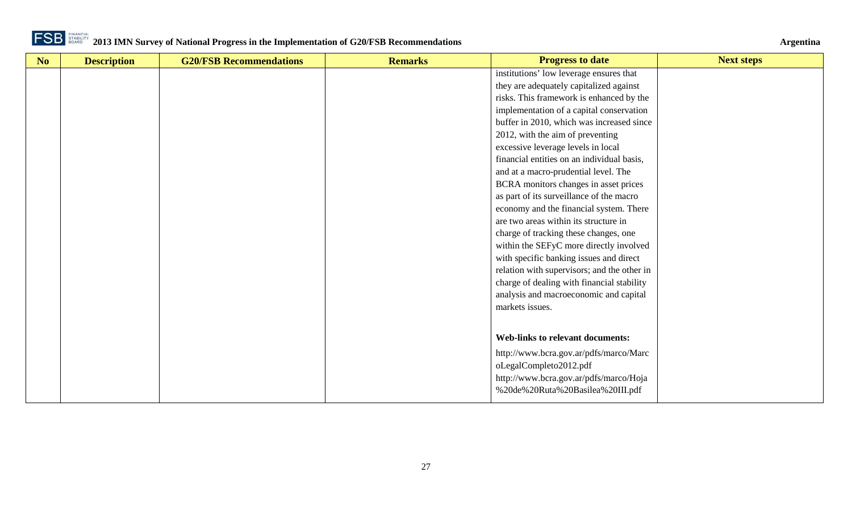

| No | <b>Description</b> | <b>G20/FSB Recommendations</b> | <b>Remarks</b> | <b>Progress to date</b>                     | <b>Next steps</b> |
|----|--------------------|--------------------------------|----------------|---------------------------------------------|-------------------|
|    |                    |                                |                | institutions' low leverage ensures that     |                   |
|    |                    |                                |                | they are adequately capitalized against     |                   |
|    |                    |                                |                | risks. This framework is enhanced by the    |                   |
|    |                    |                                |                | implementation of a capital conservation    |                   |
|    |                    |                                |                | buffer in 2010, which was increased since   |                   |
|    |                    |                                |                | 2012, with the aim of preventing            |                   |
|    |                    |                                |                | excessive leverage levels in local          |                   |
|    |                    |                                |                | financial entities on an individual basis,  |                   |
|    |                    |                                |                | and at a macro-prudential level. The        |                   |
|    |                    |                                |                | BCRA monitors changes in asset prices       |                   |
|    |                    |                                |                | as part of its surveillance of the macro    |                   |
|    |                    |                                |                | economy and the financial system. There     |                   |
|    |                    |                                |                | are two areas within its structure in       |                   |
|    |                    |                                |                | charge of tracking these changes, one       |                   |
|    |                    |                                |                | within the SEFyC more directly involved     |                   |
|    |                    |                                |                | with specific banking issues and direct     |                   |
|    |                    |                                |                | relation with supervisors; and the other in |                   |
|    |                    |                                |                | charge of dealing with financial stability  |                   |
|    |                    |                                |                | analysis and macroeconomic and capital      |                   |
|    |                    |                                |                | markets issues.                             |                   |
|    |                    |                                |                |                                             |                   |
|    |                    |                                |                | <b>Web-links to relevant documents:</b>     |                   |
|    |                    |                                |                | http://www.bcra.gov.ar/pdfs/marco/Marc      |                   |
|    |                    |                                |                | oLegalCompleto2012.pdf                      |                   |
|    |                    |                                |                | http://www.bcra.gov.ar/pdfs/marco/Hoja      |                   |
|    |                    |                                |                | %20de%20Ruta%20Basilea%20III.pdf            |                   |
|    |                    |                                |                |                                             |                   |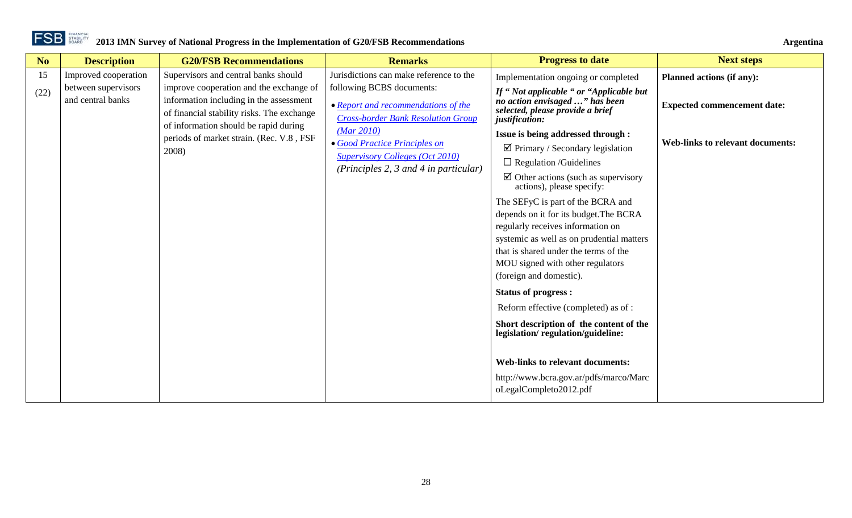| N <sub>o</sub> | <b>Description</b>                       | <b>G20/FSB Recommendations</b>                                                                                                                                            | <b>Remarks</b>                                                                                                | <b>Progress to date</b>                                                                                                                                                                                                          | <b>Next steps</b>                       |
|----------------|------------------------------------------|---------------------------------------------------------------------------------------------------------------------------------------------------------------------------|---------------------------------------------------------------------------------------------------------------|----------------------------------------------------------------------------------------------------------------------------------------------------------------------------------------------------------------------------------|-----------------------------------------|
| 15             | Improved cooperation                     | Supervisors and central banks should                                                                                                                                      | Jurisdictions can make reference to the                                                                       | Implementation ongoing or completed                                                                                                                                                                                              | <b>Planned actions (if any):</b>        |
| (22)           | between supervisors<br>and central banks | improve cooperation and the exchange of<br>information including in the assessment<br>of financial stability risks. The exchange<br>of information should be rapid during | following BCBS documents:<br>• Report and recommendations of the<br><b>Cross-border Bank Resolution Group</b> | If "Not applicable " or "Applicable but<br>no action envisaged " has been<br>selected, please provide a brief<br>justification:                                                                                                  | <b>Expected commencement date:</b>      |
|                |                                          | periods of market strain. (Rec. V.8, FSF<br>2008)                                                                                                                         | (Mar 2010)<br>• Good Practice Principles on                                                                   | Issue is being addressed through :<br>$\boxtimes$ Primary / Secondary legislation                                                                                                                                                | <b>Web-links to relevant documents:</b> |
|                |                                          |                                                                                                                                                                           | <b>Supervisory Colleges (Oct 2010)</b><br>(Principles 2, 3 and 4 in particular)                               | $\Box$ Regulation /Guidelines                                                                                                                                                                                                    |                                         |
|                |                                          |                                                                                                                                                                           |                                                                                                               | $\boxtimes$ Other actions (such as supervisory<br>actions), please specify:                                                                                                                                                      |                                         |
|                |                                          |                                                                                                                                                                           |                                                                                                               | The SEFyC is part of the BCRA and                                                                                                                                                                                                |                                         |
|                |                                          |                                                                                                                                                                           |                                                                                                               | depends on it for its budget. The BCRA<br>regularly receives information on<br>systemic as well as on prudential matters<br>that is shared under the terms of the<br>MOU signed with other regulators<br>(foreign and domestic). |                                         |
|                |                                          |                                                                                                                                                                           |                                                                                                               | <b>Status of progress:</b>                                                                                                                                                                                                       |                                         |
|                |                                          |                                                                                                                                                                           |                                                                                                               | Reform effective (completed) as of :                                                                                                                                                                                             |                                         |
|                |                                          |                                                                                                                                                                           |                                                                                                               | Short description of the content of the<br>legislation/regulation/guideline:                                                                                                                                                     |                                         |
|                |                                          |                                                                                                                                                                           |                                                                                                               | <b>Web-links to relevant documents:</b><br>http://www.bcra.gov.ar/pdfs/marco/Marc<br>oLegalCompleto2012.pdf                                                                                                                      |                                         |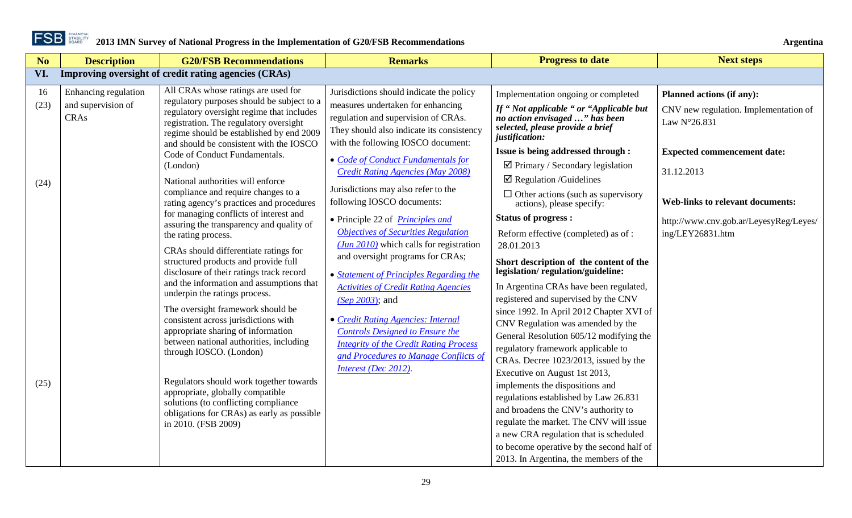

<span id="page-28-0"></span>

| No         | <b>Description</b>                                        | <b>G20/FSB Recommendations</b>                                                                                                                                                                                                                                                                                                                                                    | <b>Remarks</b>                                                                                                                                                                                                                                                                                                    | <b>Progress to date</b>                                                                                                                                                                                                                                                                                                                                                                                                                                                                                                                 | <b>Next steps</b>                                                                                     |
|------------|-----------------------------------------------------------|-----------------------------------------------------------------------------------------------------------------------------------------------------------------------------------------------------------------------------------------------------------------------------------------------------------------------------------------------------------------------------------|-------------------------------------------------------------------------------------------------------------------------------------------------------------------------------------------------------------------------------------------------------------------------------------------------------------------|-----------------------------------------------------------------------------------------------------------------------------------------------------------------------------------------------------------------------------------------------------------------------------------------------------------------------------------------------------------------------------------------------------------------------------------------------------------------------------------------------------------------------------------------|-------------------------------------------------------------------------------------------------------|
| VI.        |                                                           | Improving oversight of credit rating agencies (CRAs)                                                                                                                                                                                                                                                                                                                              |                                                                                                                                                                                                                                                                                                                   |                                                                                                                                                                                                                                                                                                                                                                                                                                                                                                                                         |                                                                                                       |
| 16<br>(23) | Enhancing regulation<br>and supervision of<br><b>CRAs</b> | All CRAs whose ratings are used for<br>regulatory purposes should be subject to a<br>regulatory oversight regime that includes<br>registration. The regulatory oversight<br>regime should be established by end 2009                                                                                                                                                              | Jurisdictions should indicate the policy<br>measures undertaken for enhancing<br>regulation and supervision of CRAs.<br>They should also indicate its consistency                                                                                                                                                 | Implementation ongoing or completed<br>If "Not applicable " or "Applicable but<br>no action envisaged " has been<br>selected, please provide a brief<br>justification:                                                                                                                                                                                                                                                                                                                                                                  | Planned actions (if any):<br>CNV new regulation. Implementation of<br>Law N°26.831                    |
| (24)       |                                                           | and should be consistent with the IOSCO<br>Code of Conduct Fundamentals.<br>(London)<br>National authorities will enforce<br>compliance and require changes to a                                                                                                                                                                                                                  | with the following IOSCO document:<br>• Code of Conduct Fundamentals for<br><b>Credit Rating Agencies (May 2008)</b><br>Jurisdictions may also refer to the                                                                                                                                                       | Issue is being addressed through :<br>$\boxtimes$ Primary / Secondary legislation<br>$\boxtimes$ Regulation /Guidelines<br>$\Box$ Other actions (such as supervisory                                                                                                                                                                                                                                                                                                                                                                    | <b>Expected commencement date:</b><br>31.12.2013                                                      |
|            |                                                           | rating agency's practices and procedures<br>for managing conflicts of interest and<br>assuring the transparency and quality of<br>the rating process.<br>CRAs should differentiate ratings for<br>structured products and provide full<br>disclosure of their ratings track record<br>and the information and assumptions that<br>underpin the ratings process.                   | following IOSCO documents:<br>• Principle 22 of <i>Principles and</i><br><b>Objectives of Securities Regulation</b><br>$(Jun 2010)$ which calls for registration<br>and oversight programs for CRAs;<br>• Statement of Principles Regarding the<br><b>Activities of Credit Rating Agencies</b><br>(Sep 2003); and | actions), please specify:<br><b>Status of progress:</b><br>Reform effective (completed) as of:<br>28.01.2013<br>Short description of the content of the<br>legislation/regulation/guideline:<br>In Argentina CRAs have been regulated,<br>registered and supervised by the CNV                                                                                                                                                                                                                                                          | <b>Web-links to relevant documents:</b><br>http://www.cnv.gob.ar/LeyesyReg/Leyes/<br>ing/LEY26831.htm |
| (25)       |                                                           | The oversight framework should be<br>consistent across jurisdictions with<br>appropriate sharing of information<br>between national authorities, including<br>through IOSCO. (London)<br>Regulators should work together towards<br>appropriate, globally compatible<br>solutions (to conflicting compliance<br>obligations for CRAs) as early as possible<br>in 2010. (FSB 2009) | • Credit Rating Agencies: Internal<br><b>Controls Designed to Ensure the</b><br><b>Integrity of the Credit Rating Process</b><br>and Procedures to Manage Conflicts of<br>Interest (Dec 2012).                                                                                                                    | since 1992. In April 2012 Chapter XVI of<br>CNV Regulation was amended by the<br>General Resolution 605/12 modifying the<br>regulatory framework applicable to<br>CRAs. Decree 1023/2013, issued by the<br>Executive on August 1st 2013,<br>implements the dispositions and<br>regulations established by Law 26.831<br>and broadens the CNV's authority to<br>regulate the market. The CNV will issue<br>a new CRA regulation that is scheduled<br>to become operative by the second half of<br>2013. In Argentina, the members of the |                                                                                                       |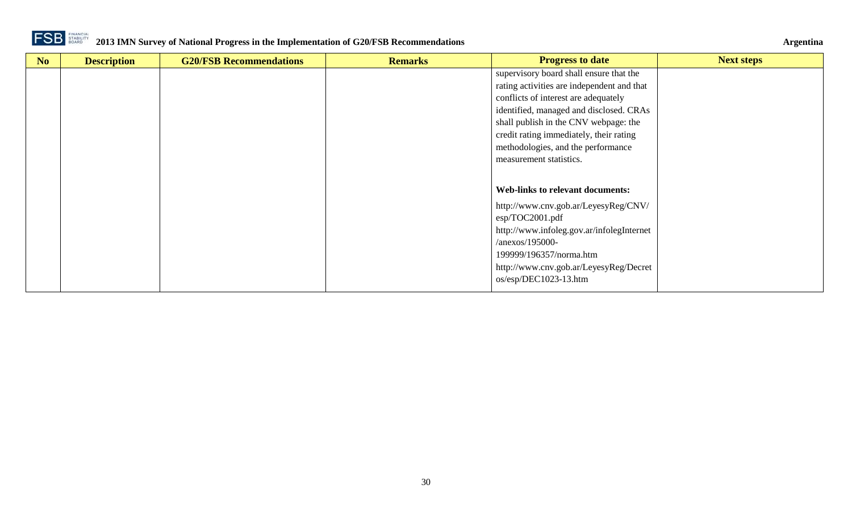

| No | <b>Description</b> | <b>G20/FSB Recommendations</b> | <b>Remarks</b> | <b>Progress to date</b>                    | <b>Next steps</b> |
|----|--------------------|--------------------------------|----------------|--------------------------------------------|-------------------|
|    |                    |                                |                | supervisory board shall ensure that the    |                   |
|    |                    |                                |                | rating activities are independent and that |                   |
|    |                    |                                |                | conflicts of interest are adequately       |                   |
|    |                    |                                |                | identified, managed and disclosed. CRAs    |                   |
|    |                    |                                |                | shall publish in the CNV webpage: the      |                   |
|    |                    |                                |                | credit rating immediately, their rating    |                   |
|    |                    |                                |                | methodologies, and the performance         |                   |
|    |                    |                                |                | measurement statistics.                    |                   |
|    |                    |                                |                |                                            |                   |
|    |                    |                                |                | <b>Web-links to relevant documents:</b>    |                   |
|    |                    |                                |                | http://www.cnv.gob.ar/LeyesyReg/CNV/       |                   |
|    |                    |                                |                | $\exp/TOC2001.pdf$                         |                   |
|    |                    |                                |                | http://www.infoleg.gov.ar/infolegInternet  |                   |
|    |                    |                                |                | $/2$ anexos/195000-                        |                   |
|    |                    |                                |                | 199999/196357/norma.htm                    |                   |
|    |                    |                                |                | http://www.cnv.gob.ar/LeyesyReg/Decret     |                   |
|    |                    |                                |                | os/esp/DEC1023-13.htm                      |                   |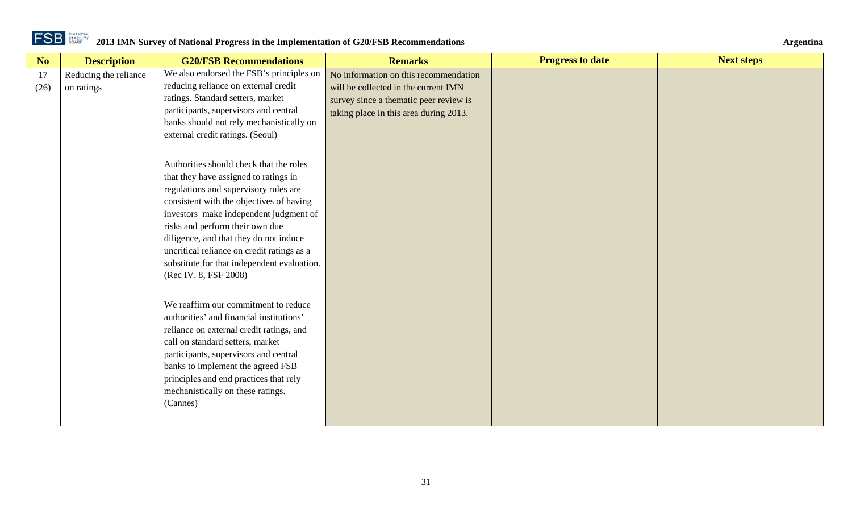| No         | <b>Description</b>                  | <b>G20/FSB Recommendations</b>                                                                                                                                                                                                                                                                                                                                                                                     | <b>Remarks</b>                                                                                                                                                    | <b>Progress to date</b> | <b>Next steps</b> |
|------------|-------------------------------------|--------------------------------------------------------------------------------------------------------------------------------------------------------------------------------------------------------------------------------------------------------------------------------------------------------------------------------------------------------------------------------------------------------------------|-------------------------------------------------------------------------------------------------------------------------------------------------------------------|-------------------------|-------------------|
| 17<br>(26) | Reducing the reliance<br>on ratings | We also endorsed the FSB's principles on<br>reducing reliance on external credit<br>ratings. Standard setters, market<br>participants, supervisors and central<br>banks should not rely mechanistically on<br>external credit ratings. (Seoul)                                                                                                                                                                     | No information on this recommendation<br>will be collected in the current IMN<br>survey since a thematic peer review is<br>taking place in this area during 2013. |                         |                   |
|            |                                     | Authorities should check that the roles<br>that they have assigned to ratings in<br>regulations and supervisory rules are<br>consistent with the objectives of having<br>investors make independent judgment of<br>risks and perform their own due<br>diligence, and that they do not induce<br>uncritical reliance on credit ratings as a<br>substitute for that independent evaluation.<br>(Rec IV. 8, FSF 2008) |                                                                                                                                                                   |                         |                   |
|            |                                     | We reaffirm our commitment to reduce<br>authorities' and financial institutions'<br>reliance on external credit ratings, and<br>call on standard setters, market<br>participants, supervisors and central<br>banks to implement the agreed FSB<br>principles and end practices that rely<br>mechanistically on these ratings.<br>(Cannes)                                                                          |                                                                                                                                                                   |                         |                   |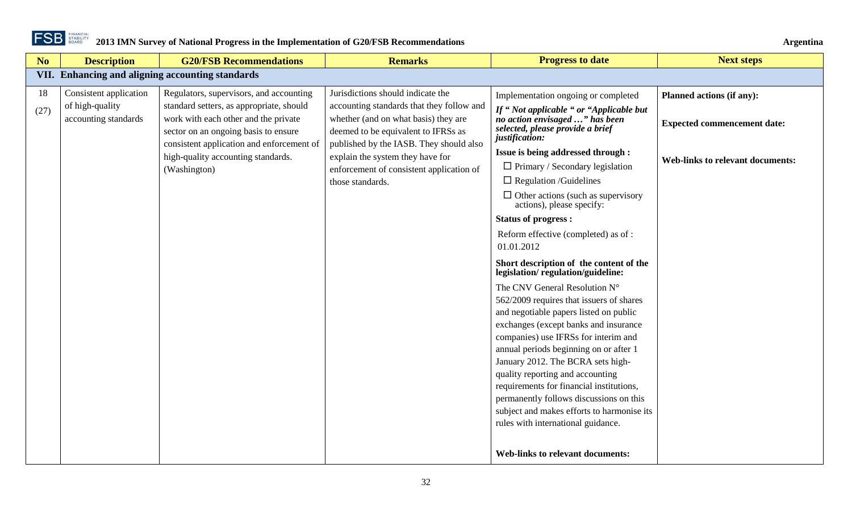

<span id="page-31-0"></span>

| No         | <b>Description</b>                                                | <b>G20/FSB Recommendations</b>                                                                                                                                                                                                                                         | <b>Remarks</b>                                                                                                                                                                                                                                                                                               | <b>Progress to date</b>                                                                                                                                                                                                                                                                                                                                                                                                                                                                                                                                                                                                                                                                                                                                                                                                                                                                                                                                                                                                                                                                | <b>Next steps</b>                                                                                          |
|------------|-------------------------------------------------------------------|------------------------------------------------------------------------------------------------------------------------------------------------------------------------------------------------------------------------------------------------------------------------|--------------------------------------------------------------------------------------------------------------------------------------------------------------------------------------------------------------------------------------------------------------------------------------------------------------|----------------------------------------------------------------------------------------------------------------------------------------------------------------------------------------------------------------------------------------------------------------------------------------------------------------------------------------------------------------------------------------------------------------------------------------------------------------------------------------------------------------------------------------------------------------------------------------------------------------------------------------------------------------------------------------------------------------------------------------------------------------------------------------------------------------------------------------------------------------------------------------------------------------------------------------------------------------------------------------------------------------------------------------------------------------------------------------|------------------------------------------------------------------------------------------------------------|
|            |                                                                   | VII. Enhancing and aligning accounting standards                                                                                                                                                                                                                       |                                                                                                                                                                                                                                                                                                              |                                                                                                                                                                                                                                                                                                                                                                                                                                                                                                                                                                                                                                                                                                                                                                                                                                                                                                                                                                                                                                                                                        |                                                                                                            |
| 18<br>(27) | Consistent application<br>of high-quality<br>accounting standards | Regulators, supervisors, and accounting<br>standard setters, as appropriate, should<br>work with each other and the private<br>sector on an ongoing basis to ensure<br>consistent application and enforcement of<br>high-quality accounting standards.<br>(Washington) | Jurisdictions should indicate the<br>accounting standards that they follow and<br>whether (and on what basis) they are<br>deemed to be equivalent to IFRSs as<br>published by the IASB. They should also<br>explain the system they have for<br>enforcement of consistent application of<br>those standards. | Implementation ongoing or completed<br>If "Not applicable " or "Applicable but<br>no action envisaged " has been<br>selected, please provide a brief<br>justification:<br>Issue is being addressed through :<br>$\Box$ Primary / Secondary legislation<br>$\Box$ Regulation /Guidelines<br>$\Box$ Other actions (such as supervisory<br>actions), please specify:<br><b>Status of progress:</b><br>Reform effective (completed) as of :<br>01.01.2012<br>Short description of the content of the<br>legislation/regulation/guideline:<br>The CNV General Resolution N°<br>562/2009 requires that issuers of shares<br>and negotiable papers listed on public<br>exchanges (except banks and insurance<br>companies) use IFRSs for interim and<br>annual periods beginning on or after 1<br>January 2012. The BCRA sets high-<br>quality reporting and accounting<br>requirements for financial institutions,<br>permanently follows discussions on this<br>subject and makes efforts to harmonise its<br>rules with international guidance.<br><b>Web-links to relevant documents:</b> | Planned actions (if any):<br><b>Expected commencement date:</b><br><b>Web-links to relevant documents:</b> |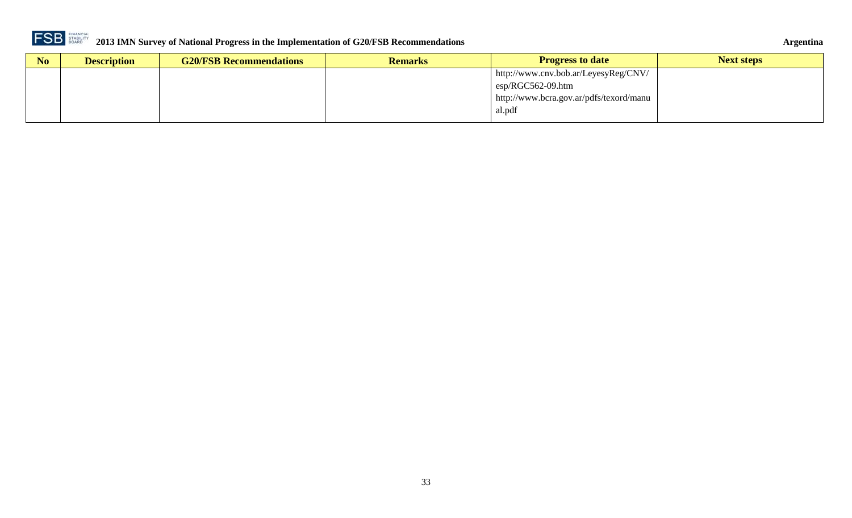

| Argentina |
|-----------|
|-----------|

| N <sub>o</sub> | <b>Description</b> | <b>G20/FSB Recommendations</b> | <b>Remarks</b> | <b>Progress to date</b>                 | <b>Next steps</b> |
|----------------|--------------------|--------------------------------|----------------|-----------------------------------------|-------------------|
|                |                    |                                |                | http://www.cnv.bob.ar/LeyesyReg/CNV/    |                   |
|                |                    |                                |                | $\exp$ <sub>RGC562-09.htm</sub>         |                   |
|                |                    |                                |                | http://www.bcra.gov.ar/pdfs/texord/manu |                   |
|                |                    |                                |                | al.pdf                                  |                   |
|                |                    |                                |                |                                         |                   |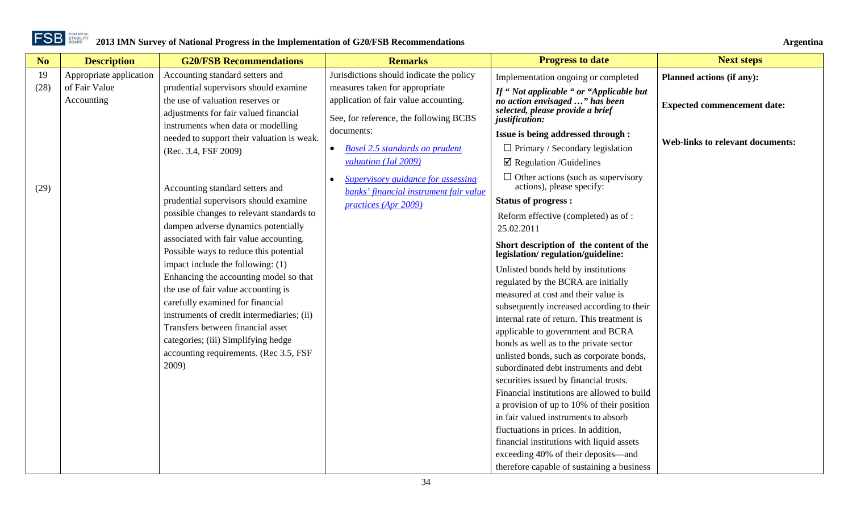| No   | <b>Description</b>          | <b>G20/FSB Recommendations</b>                                                                                     | <b>Remarks</b>                                                                                                    | <b>Progress to date</b>                                                                                                         | <b>Next steps</b>                       |
|------|-----------------------------|--------------------------------------------------------------------------------------------------------------------|-------------------------------------------------------------------------------------------------------------------|---------------------------------------------------------------------------------------------------------------------------------|-----------------------------------------|
| 19   | Appropriate application     | Accounting standard setters and                                                                                    | Jurisdictions should indicate the policy                                                                          | Implementation ongoing or completed                                                                                             | Planned actions (if any):               |
| (28) | of Fair Value<br>Accounting | prudential supervisors should examine<br>the use of valuation reserves or<br>adjustments for fair valued financial | measures taken for appropriate<br>application of fair value accounting.<br>See, for reference, the following BCBS | If "Not applicable " or "Applicable but<br>no action envisaged " has been<br>selected, please provide a brief<br>justification: | <b>Expected commencement date:</b>      |
|      |                             | instruments when data or modelling                                                                                 | documents:                                                                                                        | Issue is being addressed through :                                                                                              |                                         |
|      |                             | needed to support their valuation is weak.<br>(Rec. 3.4, FSF 2009)                                                 | <b>Basel 2.5 standards on prudent</b><br>$\bullet$                                                                | $\Box$ Primary / Secondary legislation                                                                                          | <b>Web-links to relevant documents:</b> |
|      |                             |                                                                                                                    | valuation (Jul 2009)                                                                                              | $\boxtimes$ Regulation /Guidelines                                                                                              |                                         |
| (29) |                             | Accounting standard setters and                                                                                    | Supervisory guidance for assessing<br>banks' financial instrument fair value                                      | $\Box$ Other actions (such as supervisory<br>actions), please specify:                                                          |                                         |
|      |                             | prudential supervisors should examine                                                                              | practices (Apr 2009)                                                                                              | <b>Status of progress:</b>                                                                                                      |                                         |
|      |                             | possible changes to relevant standards to                                                                          |                                                                                                                   | Reform effective (completed) as of:                                                                                             |                                         |
|      |                             | dampen adverse dynamics potentially                                                                                |                                                                                                                   | 25.02.2011                                                                                                                      |                                         |
|      |                             | associated with fair value accounting.<br>Possible ways to reduce this potential                                   |                                                                                                                   | Short description of the content of the<br>legislation/regulation/guideline:                                                    |                                         |
|      |                             | impact include the following: (1)                                                                                  |                                                                                                                   | Unlisted bonds held by institutions                                                                                             |                                         |
|      |                             | Enhancing the accounting model so that                                                                             |                                                                                                                   | regulated by the BCRA are initially                                                                                             |                                         |
|      |                             | the use of fair value accounting is                                                                                |                                                                                                                   | measured at cost and their value is                                                                                             |                                         |
|      |                             | carefully examined for financial<br>instruments of credit intermediaries; (ii)                                     |                                                                                                                   | subsequently increased according to their                                                                                       |                                         |
|      |                             | Transfers between financial asset                                                                                  |                                                                                                                   | internal rate of return. This treatment is                                                                                      |                                         |
|      |                             | categories; (iii) Simplifying hedge                                                                                |                                                                                                                   | applicable to government and BCRA                                                                                               |                                         |
|      |                             | accounting requirements. (Rec 3.5, FSF                                                                             |                                                                                                                   | bonds as well as to the private sector                                                                                          |                                         |
|      |                             | 2009)                                                                                                              |                                                                                                                   | unlisted bonds, such as corporate bonds,<br>subordinated debt instruments and debt                                              |                                         |
|      |                             |                                                                                                                    |                                                                                                                   | securities issued by financial trusts.                                                                                          |                                         |
|      |                             |                                                                                                                    |                                                                                                                   | Financial institutions are allowed to build                                                                                     |                                         |
|      |                             |                                                                                                                    |                                                                                                                   | a provision of up to 10% of their position                                                                                      |                                         |
|      |                             |                                                                                                                    |                                                                                                                   | in fair valued instruments to absorb                                                                                            |                                         |
|      |                             |                                                                                                                    |                                                                                                                   | fluctuations in prices. In addition,                                                                                            |                                         |
|      |                             |                                                                                                                    |                                                                                                                   | financial institutions with liquid assets                                                                                       |                                         |
|      |                             |                                                                                                                    |                                                                                                                   | exceeding 40% of their deposits—and                                                                                             |                                         |
|      |                             |                                                                                                                    |                                                                                                                   | therefore capable of sustaining a business                                                                                      |                                         |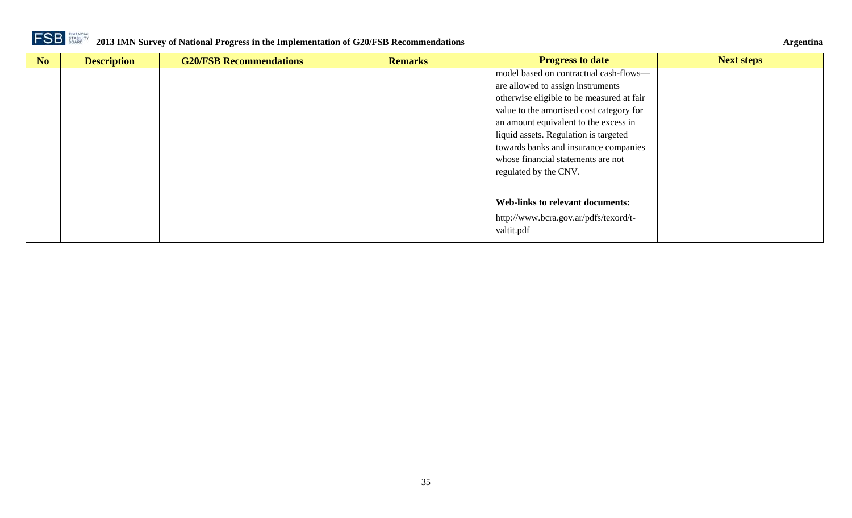

| N <sub>o</sub> | <b>Description</b> | <b>G20/FSB Recommendations</b> | <b>Remarks</b> | <b>Progress to date</b>                   | <b>Next steps</b> |
|----------------|--------------------|--------------------------------|----------------|-------------------------------------------|-------------------|
|                |                    |                                |                | model based on contractual cash-flows-    |                   |
|                |                    |                                |                | are allowed to assign instruments         |                   |
|                |                    |                                |                | otherwise eligible to be measured at fair |                   |
|                |                    |                                |                | value to the amortised cost category for  |                   |
|                |                    |                                |                | an amount equivalent to the excess in     |                   |
|                |                    |                                |                | liquid assets. Regulation is targeted     |                   |
|                |                    |                                |                | towards banks and insurance companies     |                   |
|                |                    |                                |                | whose financial statements are not        |                   |
|                |                    |                                |                | regulated by the CNV.                     |                   |
|                |                    |                                |                |                                           |                   |
|                |                    |                                |                |                                           |                   |
|                |                    |                                |                | <b>Web-links to relevant documents:</b>   |                   |
|                |                    |                                |                | http://www.bcra.gov.ar/pdfs/texord/t-     |                   |
|                |                    |                                |                | valtit.pdf                                |                   |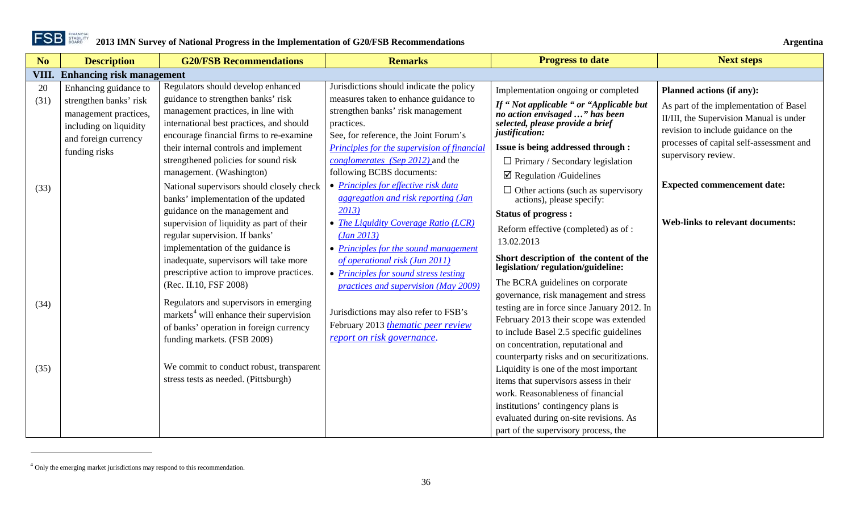

 $\overline{a}$ 

<span id="page-35-1"></span>

<span id="page-35-0"></span>

| N <sub>o</sub> | <b>Description</b>                                                                                | <b>G20/FSB Recommendations</b>                                                                                                                                          | <b>Remarks</b>                                                                                                                    | <b>Progress to date</b>                                                                                                                                                                                                                                         | <b>Next steps</b>                                                                                                                                                    |
|----------------|---------------------------------------------------------------------------------------------------|-------------------------------------------------------------------------------------------------------------------------------------------------------------------------|-----------------------------------------------------------------------------------------------------------------------------------|-----------------------------------------------------------------------------------------------------------------------------------------------------------------------------------------------------------------------------------------------------------------|----------------------------------------------------------------------------------------------------------------------------------------------------------------------|
| VIII.          | <b>Enhancing risk management</b>                                                                  |                                                                                                                                                                         |                                                                                                                                   |                                                                                                                                                                                                                                                                 |                                                                                                                                                                      |
| 20             | Enhancing guidance to                                                                             | Regulators should develop enhanced                                                                                                                                      | Jurisdictions should indicate the policy                                                                                          | Implementation ongoing or completed                                                                                                                                                                                                                             | <b>Planned actions (if any):</b>                                                                                                                                     |
| (31)           | strengthen banks' risk<br>management practices,<br>including on liquidity<br>and foreign currency | guidance to strengthen banks' risk<br>management practices, in line with<br>international best practices, and should<br>encourage financial firms to re-examine         | measures taken to enhance guidance to<br>strengthen banks' risk management<br>practices.<br>See, for reference, the Joint Forum's | If "Not applicable " or "Applicable but<br>no action envisaged " has been<br>selected, please provide a brief<br>justification:                                                                                                                                 | As part of the implementation of Basel<br>II/III, the Supervision Manual is under<br>revision to include guidance on the<br>processes of capital self-assessment and |
|                | funding risks                                                                                     | their internal controls and implement<br>strengthened policies for sound risk                                                                                           | Principles for the supervision of financial<br>conglomerates (Sep 2012) and the                                                   | Issue is being addressed through :<br>$\Box$ Primary / Secondary legislation                                                                                                                                                                                    | supervisory review.                                                                                                                                                  |
| (33)           |                                                                                                   | management. (Washington)<br>National supervisors should closely check<br>banks' implementation of the updated                                                           | following BCBS documents:<br>• Principles for effective risk data<br>aggregation and risk reporting (Jan                          | $\boxtimes$ Regulation /Guidelines<br>$\Box$ Other actions (such as supervisory<br>actions), please specify:                                                                                                                                                    | <b>Expected commencement date:</b>                                                                                                                                   |
|                |                                                                                                   | guidance on the management and<br>supervision of liquidity as part of their<br>regular supervision. If banks'<br>implementation of the guidance is                      | 2013)<br>• The Liquidity Coverage Ratio (LCR)<br>(Jan 2013)<br>• Principles for the sound management                              | <b>Status of progress:</b><br>Reform effective (completed) as of:<br>13.02.2013                                                                                                                                                                                 | <b>Web-links to relevant documents:</b>                                                                                                                              |
|                |                                                                                                   | inadequate, supervisors will take more<br>prescriptive action to improve practices.<br>(Rec. II.10, FSF 2008)                                                           | of operational risk (Jun 2011)<br>• Principles for sound stress testing<br>practices and supervision (May 2009)                   | Short description of the content of the<br>legislation/regulation/guideline:<br>The BCRA guidelines on corporate                                                                                                                                                |                                                                                                                                                                      |
| (34)           |                                                                                                   | Regulators and supervisors in emerging<br>markets <sup>4</sup> will enhance their supervision<br>of banks' operation in foreign currency<br>funding markets. (FSB 2009) | Jurisdictions may also refer to FSB's<br>February 2013 thematic peer review<br>report on risk governance.                         | governance, risk management and stress<br>testing are in force since January 2012. In<br>February 2013 their scope was extended<br>to include Basel 2.5 specific guidelines<br>on concentration, reputational and<br>counterparty risks and on securitizations. |                                                                                                                                                                      |
| (35)           |                                                                                                   | We commit to conduct robust, transparent<br>stress tests as needed. (Pittsburgh)                                                                                        |                                                                                                                                   | Liquidity is one of the most important<br>items that supervisors assess in their<br>work. Reasonableness of financial<br>institutions' contingency plans is<br>evaluated during on-site revisions. As<br>part of the supervisory process, the                   |                                                                                                                                                                      |

<sup>4</sup> Only the emerging market jurisdictions may respond to this recommendation.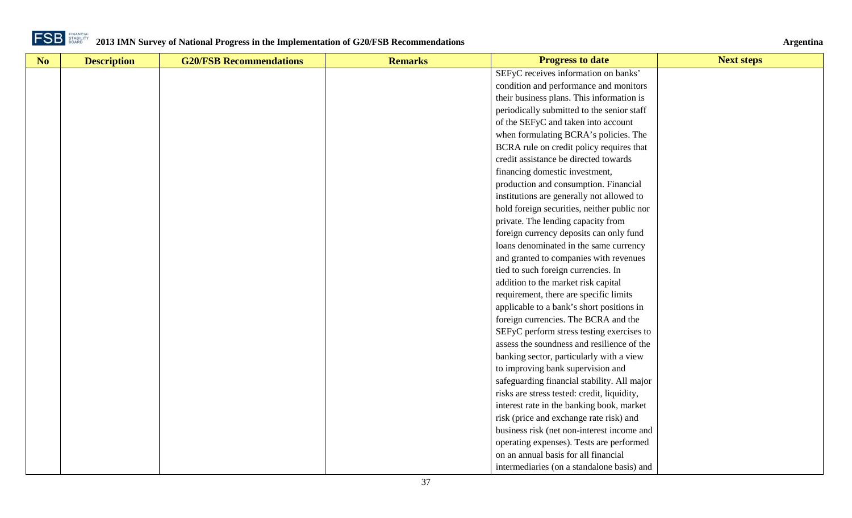

| No | <b>Description</b> | <b>G20/FSB Recommendations</b> | <b>Remarks</b> | <b>Progress to date</b>                     | <b>Next steps</b> |
|----|--------------------|--------------------------------|----------------|---------------------------------------------|-------------------|
|    |                    |                                |                | SEFyC receives information on banks'        |                   |
|    |                    |                                |                | condition and performance and monitors      |                   |
|    |                    |                                |                | their business plans. This information is   |                   |
|    |                    |                                |                | periodically submitted to the senior staff  |                   |
|    |                    |                                |                | of the SEFyC and taken into account         |                   |
|    |                    |                                |                | when formulating BCRA's policies. The       |                   |
|    |                    |                                |                | BCRA rule on credit policy requires that    |                   |
|    |                    |                                |                | credit assistance be directed towards       |                   |
|    |                    |                                |                | financing domestic investment,              |                   |
|    |                    |                                |                | production and consumption. Financial       |                   |
|    |                    |                                |                | institutions are generally not allowed to   |                   |
|    |                    |                                |                | hold foreign securities, neither public nor |                   |
|    |                    |                                |                | private. The lending capacity from          |                   |
|    |                    |                                |                | foreign currency deposits can only fund     |                   |
|    |                    |                                |                | loans denominated in the same currency      |                   |
|    |                    |                                |                | and granted to companies with revenues      |                   |
|    |                    |                                |                | tied to such foreign currencies. In         |                   |
|    |                    |                                |                | addition to the market risk capital         |                   |
|    |                    |                                |                | requirement, there are specific limits      |                   |
|    |                    |                                |                | applicable to a bank's short positions in   |                   |
|    |                    |                                |                | foreign currencies. The BCRA and the        |                   |
|    |                    |                                |                | SEFyC perform stress testing exercises to   |                   |
|    |                    |                                |                | assess the soundness and resilience of the  |                   |
|    |                    |                                |                | banking sector, particularly with a view    |                   |
|    |                    |                                |                | to improving bank supervision and           |                   |
|    |                    |                                |                | safeguarding financial stability. All major |                   |
|    |                    |                                |                | risks are stress tested: credit, liquidity, |                   |
|    |                    |                                |                | interest rate in the banking book, market   |                   |
|    |                    |                                |                | risk (price and exchange rate risk) and     |                   |
|    |                    |                                |                | business risk (net non-interest income and  |                   |
|    |                    |                                |                | operating expenses). Tests are performed    |                   |
|    |                    |                                |                | on an annual basis for all financial        |                   |
|    |                    |                                |                | intermediaries (on a standalone basis) and  |                   |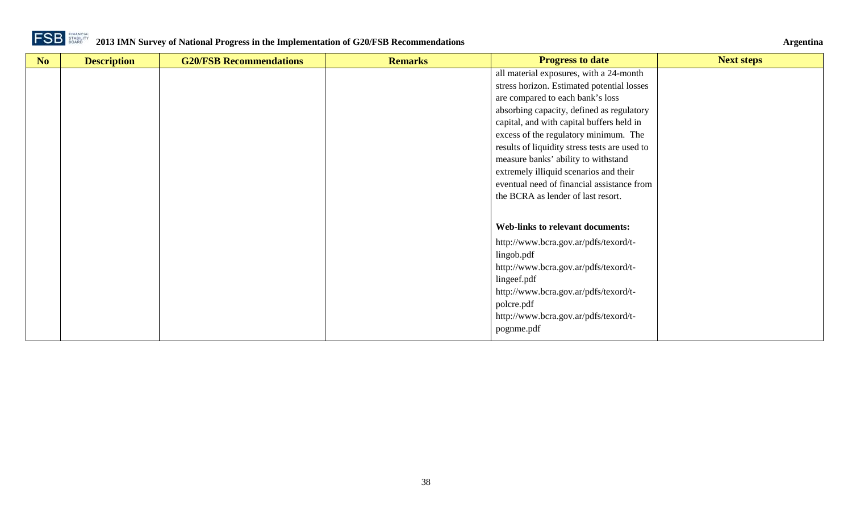

| No | <b>Description</b> | <b>G20/FSB Recommendations</b> | <b>Remarks</b> | <b>Progress to date</b>                       | <b>Next steps</b> |
|----|--------------------|--------------------------------|----------------|-----------------------------------------------|-------------------|
|    |                    |                                |                | all material exposures, with a 24-month       |                   |
|    |                    |                                |                | stress horizon. Estimated potential losses    |                   |
|    |                    |                                |                | are compared to each bank's loss              |                   |
|    |                    |                                |                | absorbing capacity, defined as regulatory     |                   |
|    |                    |                                |                | capital, and with capital buffers held in     |                   |
|    |                    |                                |                | excess of the regulatory minimum. The         |                   |
|    |                    |                                |                | results of liquidity stress tests are used to |                   |
|    |                    |                                |                | measure banks' ability to withstand           |                   |
|    |                    |                                |                | extremely illiquid scenarios and their        |                   |
|    |                    |                                |                | eventual need of financial assistance from    |                   |
|    |                    |                                |                | the BCRA as lender of last resort.            |                   |
|    |                    |                                |                |                                               |                   |
|    |                    |                                |                | <b>Web-links to relevant documents:</b>       |                   |
|    |                    |                                |                | http://www.bcra.gov.ar/pdfs/texord/t-         |                   |
|    |                    |                                |                | lingob.pdf                                    |                   |
|    |                    |                                |                | http://www.bcra.gov.ar/pdfs/texord/t-         |                   |
|    |                    |                                |                | lingeef.pdf                                   |                   |
|    |                    |                                |                | http://www.bcra.gov.ar/pdfs/texord/t-         |                   |
|    |                    |                                |                | polcre.pdf                                    |                   |
|    |                    |                                |                | http://www.bcra.gov.ar/pdfs/texord/t-         |                   |
|    |                    |                                |                | pognme.pdf                                    |                   |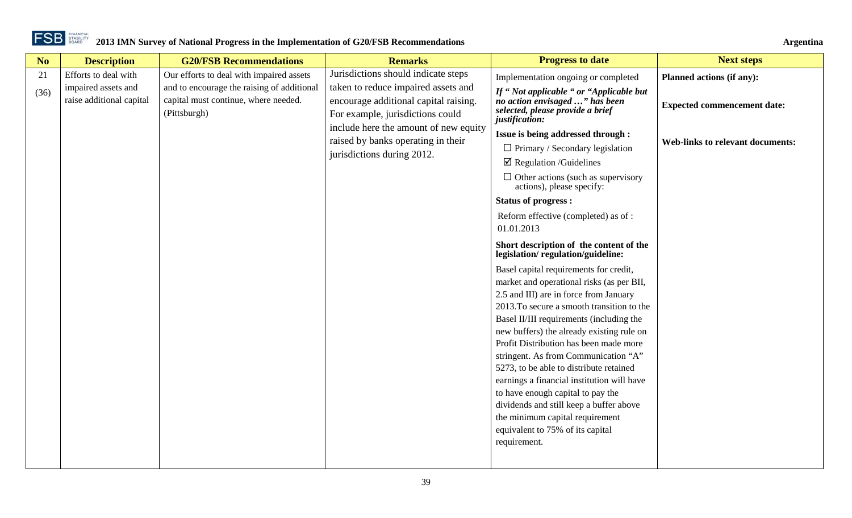

| No         | <b>Description</b>                                                      | <b>G20/FSB Recommendations</b>                                                                                                                 | <b>Remarks</b>                                                                                                                                                                                                                                                       | <b>Progress to date</b>                                                                                                                                                                                                                                                                                                                                                                                                                                                                                                                                                                                                                                                                                                                                                                                                                                                                                                                                                                      | <b>Next steps</b>                                                                                          |
|------------|-------------------------------------------------------------------------|------------------------------------------------------------------------------------------------------------------------------------------------|----------------------------------------------------------------------------------------------------------------------------------------------------------------------------------------------------------------------------------------------------------------------|----------------------------------------------------------------------------------------------------------------------------------------------------------------------------------------------------------------------------------------------------------------------------------------------------------------------------------------------------------------------------------------------------------------------------------------------------------------------------------------------------------------------------------------------------------------------------------------------------------------------------------------------------------------------------------------------------------------------------------------------------------------------------------------------------------------------------------------------------------------------------------------------------------------------------------------------------------------------------------------------|------------------------------------------------------------------------------------------------------------|
| 21<br>(36) | Efforts to deal with<br>impaired assets and<br>raise additional capital | Our efforts to deal with impaired assets<br>and to encourage the raising of additional<br>capital must continue, where needed.<br>(Pittsburgh) | Jurisdictions should indicate steps<br>taken to reduce impaired assets and<br>encourage additional capital raising.<br>For example, jurisdictions could<br>include here the amount of new equity<br>raised by banks operating in their<br>jurisdictions during 2012. | Implementation ongoing or completed<br>If "Not applicable " or "Applicable but<br>no action envisaged " has been<br>selected, please provide a brief<br>justification:<br>Issue is being addressed through :<br>$\Box$ Primary / Secondary legislation<br>$\boxtimes$ Regulation /Guidelines<br>$\Box$ Other actions (such as supervisory<br>actions), please specify:<br><b>Status of progress:</b><br>Reform effective (completed) as of:<br>01.01.2013<br>Short description of the content of the<br>legislation/regulation/guideline:<br>Basel capital requirements for credit,<br>market and operational risks (as per BII,<br>2.5 and III) are in force from January<br>2013. To secure a smooth transition to the<br>Basel II/III requirements (including the<br>new buffers) the already existing rule on<br>Profit Distribution has been made more<br>stringent. As from Communication "A"<br>5273, to be able to distribute retained<br>earnings a financial institution will have | Planned actions (if any):<br><b>Expected commencement date:</b><br><b>Web-links to relevant documents:</b> |
|            |                                                                         |                                                                                                                                                |                                                                                                                                                                                                                                                                      | to have enough capital to pay the<br>dividends and still keep a buffer above<br>the minimum capital requirement<br>equivalent to 75% of its capital<br>requirement.                                                                                                                                                                                                                                                                                                                                                                                                                                                                                                                                                                                                                                                                                                                                                                                                                          |                                                                                                            |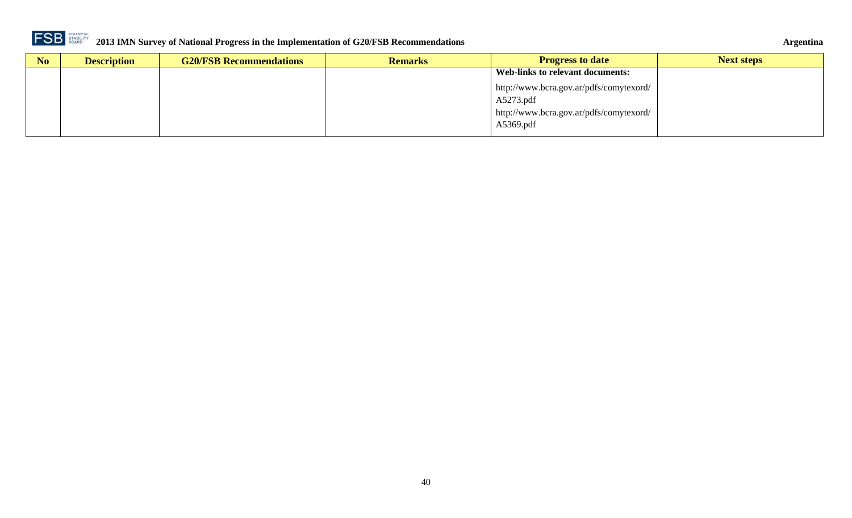

| Argentina |
|-----------|
|           |

| N <sub>o</sub> | <b>Description</b> | <b>G20/FSB Recommendations</b> | <b>Remarks</b> | <b>Progress to date</b>                 | <b>Next steps</b> |
|----------------|--------------------|--------------------------------|----------------|-----------------------------------------|-------------------|
|                |                    |                                |                | Web-links to relevant documents:        |                   |
|                |                    |                                |                | http://www.bcra.gov.ar/pdfs/comytexord/ |                   |
|                |                    |                                |                | A5273.pdf                               |                   |
|                |                    |                                |                | http://www.bcra.gov.ar/pdfs/comytexord/ |                   |
|                |                    |                                |                | A5369.pdf                               |                   |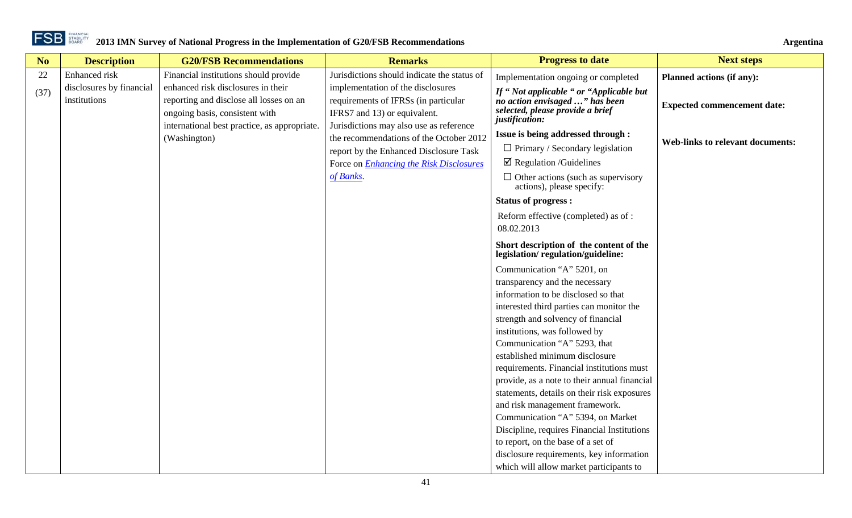

| No.  | <b>Description</b>                       | <b>G20/FSB Recommendations</b>                                                                                  | <b>Remarks</b>                                                                                            | <b>Progress to date</b>                                                                                                         | <b>Next steps</b>                       |
|------|------------------------------------------|-----------------------------------------------------------------------------------------------------------------|-----------------------------------------------------------------------------------------------------------|---------------------------------------------------------------------------------------------------------------------------------|-----------------------------------------|
| 22   | Enhanced risk                            | Financial institutions should provide                                                                           | Jurisdictions should indicate the status of                                                               | Implementation ongoing or completed                                                                                             | <b>Planned actions (if any):</b>        |
| (37) | disclosures by financial<br>institutions | enhanced risk disclosures in their<br>reporting and disclose all losses on an<br>ongoing basis, consistent with | implementation of the disclosures<br>requirements of IFRSs (in particular<br>IFRS7 and 13) or equivalent. | If "Not applicable " or "Applicable but<br>no action envisaged " has been<br>selected, please provide a brief<br>justification: | <b>Expected commencement date:</b>      |
|      |                                          | international best practice, as appropriate.<br>(Washington)                                                    | Jurisdictions may also use as reference<br>the recommendations of the October 2012                        | Issue is being addressed through :                                                                                              |                                         |
|      |                                          |                                                                                                                 | report by the Enhanced Disclosure Task                                                                    | $\Box$ Primary / Secondary legislation                                                                                          | <b>Web-links to relevant documents:</b> |
|      |                                          |                                                                                                                 | Force on <i>Enhancing the Risk Disclosures</i>                                                            | $\boxtimes$ Regulation /Guidelines                                                                                              |                                         |
|      |                                          |                                                                                                                 | of Banks.                                                                                                 | $\Box$ Other actions (such as supervisory<br>actions), please specify:                                                          |                                         |
|      |                                          |                                                                                                                 |                                                                                                           | <b>Status of progress:</b>                                                                                                      |                                         |
|      |                                          |                                                                                                                 |                                                                                                           | Reform effective (completed) as of :<br>08.02.2013                                                                              |                                         |
|      |                                          |                                                                                                                 |                                                                                                           | Short description of the content of the<br>legislation/regulation/guideline:                                                    |                                         |
|      |                                          |                                                                                                                 |                                                                                                           | Communication "A" 5201, on                                                                                                      |                                         |
|      |                                          |                                                                                                                 |                                                                                                           | transparency and the necessary                                                                                                  |                                         |
|      |                                          |                                                                                                                 |                                                                                                           | information to be disclosed so that                                                                                             |                                         |
|      |                                          |                                                                                                                 |                                                                                                           | interested third parties can monitor the                                                                                        |                                         |
|      |                                          |                                                                                                                 |                                                                                                           | strength and solvency of financial                                                                                              |                                         |
|      |                                          |                                                                                                                 |                                                                                                           | institutions, was followed by                                                                                                   |                                         |
|      |                                          |                                                                                                                 |                                                                                                           | Communication "A" 5293, that                                                                                                    |                                         |
|      |                                          |                                                                                                                 |                                                                                                           | established minimum disclosure                                                                                                  |                                         |
|      |                                          |                                                                                                                 |                                                                                                           | requirements. Financial institutions must                                                                                       |                                         |
|      |                                          |                                                                                                                 |                                                                                                           | provide, as a note to their annual financial                                                                                    |                                         |
|      |                                          |                                                                                                                 |                                                                                                           | statements, details on their risk exposures                                                                                     |                                         |
|      |                                          |                                                                                                                 |                                                                                                           | and risk management framework.<br>Communication "A" 5394, on Market                                                             |                                         |
|      |                                          |                                                                                                                 |                                                                                                           | Discipline, requires Financial Institutions                                                                                     |                                         |
|      |                                          |                                                                                                                 |                                                                                                           | to report, on the base of a set of                                                                                              |                                         |
|      |                                          |                                                                                                                 |                                                                                                           | disclosure requirements, key information                                                                                        |                                         |
|      |                                          |                                                                                                                 |                                                                                                           | which will allow market participants to                                                                                         |                                         |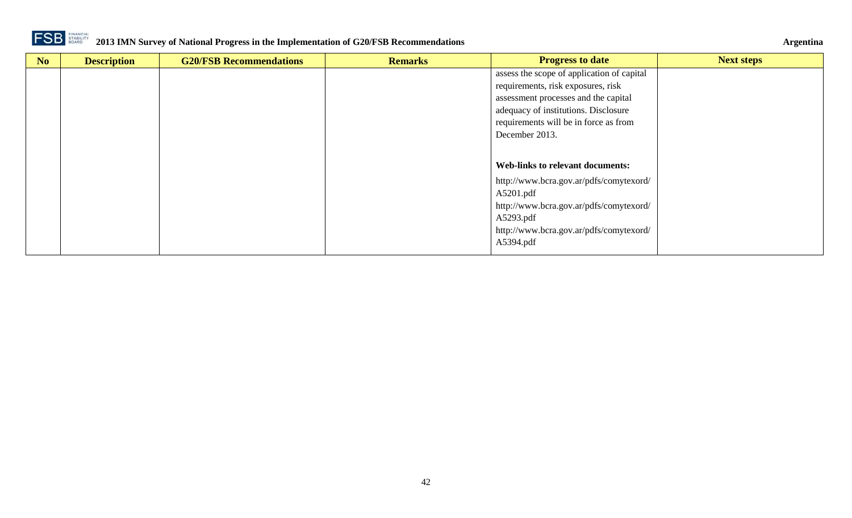

| No | <b>Description</b> | <b>G20/FSB Recommendations</b> | <b>Remarks</b> | <b>Progress to date</b>                    | <b>Next steps</b> |
|----|--------------------|--------------------------------|----------------|--------------------------------------------|-------------------|
|    |                    |                                |                | assess the scope of application of capital |                   |
|    |                    |                                |                | requirements, risk exposures, risk         |                   |
|    |                    |                                |                | assessment processes and the capital       |                   |
|    |                    |                                |                | adequacy of institutions. Disclosure       |                   |
|    |                    |                                |                | requirements will be in force as from      |                   |
|    |                    |                                |                | December 2013.                             |                   |
|    |                    |                                |                |                                            |                   |
|    |                    |                                |                | Web-links to relevant documents:           |                   |
|    |                    |                                |                | http://www.bcra.gov.ar/pdfs/comytexord/    |                   |
|    |                    |                                |                | A5201.pdf                                  |                   |
|    |                    |                                |                | http://www.bcra.gov.ar/pdfs/comytexord/    |                   |
|    |                    |                                |                | A5293.pdf                                  |                   |
|    |                    |                                |                | http://www.bcra.gov.ar/pdfs/comytexord/    |                   |
|    |                    |                                |                | A5394.pdf                                  |                   |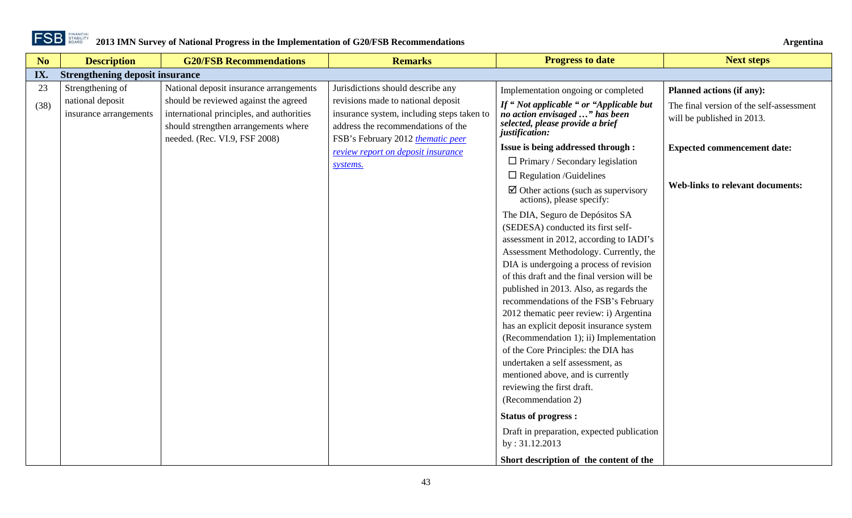

<span id="page-42-0"></span>

| No   | <b>Description</b>                         | <b>G20/FSB Recommendations</b>                                                                                                                              | <b>Remarks</b>                                                                                                                                              | <b>Progress to date</b>                                                                                                                                                                                                                                                                                                                                                                                                                                                                                                                                                                                                                       | <b>Next steps</b>                                                      |
|------|--------------------------------------------|-------------------------------------------------------------------------------------------------------------------------------------------------------------|-------------------------------------------------------------------------------------------------------------------------------------------------------------|-----------------------------------------------------------------------------------------------------------------------------------------------------------------------------------------------------------------------------------------------------------------------------------------------------------------------------------------------------------------------------------------------------------------------------------------------------------------------------------------------------------------------------------------------------------------------------------------------------------------------------------------------|------------------------------------------------------------------------|
| IX.  | <b>Strengthening deposit insurance</b>     |                                                                                                                                                             |                                                                                                                                                             |                                                                                                                                                                                                                                                                                                                                                                                                                                                                                                                                                                                                                                               |                                                                        |
| 23   | Strengthening of                           | National deposit insurance arrangements                                                                                                                     | Jurisdictions should describe any                                                                                                                           | Implementation ongoing or completed                                                                                                                                                                                                                                                                                                                                                                                                                                                                                                                                                                                                           | Planned actions (if any):                                              |
| (38) | national deposit<br>insurance arrangements | should be reviewed against the agreed<br>international principles, and authorities<br>should strengthen arrangements where<br>needed. (Rec. VI.9, FSF 2008) | revisions made to national deposit<br>insurance system, including steps taken to<br>address the recommendations of the<br>FSB's February 2012 thematic peer | If "Not applicable " or "Applicable but<br>no action envisaged " has been<br>selected, please provide a brief<br>justification:                                                                                                                                                                                                                                                                                                                                                                                                                                                                                                               | The final version of the self-assessment<br>will be published in 2013. |
|      |                                            |                                                                                                                                                             | review report on deposit insurance                                                                                                                          | Issue is being addressed through :                                                                                                                                                                                                                                                                                                                                                                                                                                                                                                                                                                                                            | <b>Expected commencement date:</b>                                     |
|      |                                            |                                                                                                                                                             | systems.                                                                                                                                                    | $\Box$ Primary / Secondary legislation                                                                                                                                                                                                                                                                                                                                                                                                                                                                                                                                                                                                        |                                                                        |
|      |                                            |                                                                                                                                                             |                                                                                                                                                             | $\Box$ Regulation /Guidelines                                                                                                                                                                                                                                                                                                                                                                                                                                                                                                                                                                                                                 |                                                                        |
|      |                                            |                                                                                                                                                             |                                                                                                                                                             | $\boxtimes$ Other actions (such as supervisory<br>actions), please specify:                                                                                                                                                                                                                                                                                                                                                                                                                                                                                                                                                                   | <b>Web-links to relevant documents:</b>                                |
|      |                                            |                                                                                                                                                             |                                                                                                                                                             | The DIA, Seguro de Depósitos SA<br>(SEDESA) conducted its first self-<br>assessment in 2012, according to IADI's<br>Assessment Methodology. Currently, the<br>DIA is undergoing a process of revision<br>of this draft and the final version will be<br>published in 2013. Also, as regards the<br>recommendations of the FSB's February<br>2012 thematic peer review: i) Argentina<br>has an explicit deposit insurance system<br>(Recommendation 1); ii) Implementation<br>of the Core Principles: the DIA has<br>undertaken a self assessment, as<br>mentioned above, and is currently<br>reviewing the first draft.<br>(Recommendation 2) |                                                                        |
|      |                                            |                                                                                                                                                             |                                                                                                                                                             | <b>Status of progress:</b>                                                                                                                                                                                                                                                                                                                                                                                                                                                                                                                                                                                                                    |                                                                        |
|      |                                            |                                                                                                                                                             |                                                                                                                                                             | Draft in preparation, expected publication<br>by: 31.12.2013                                                                                                                                                                                                                                                                                                                                                                                                                                                                                                                                                                                  |                                                                        |
|      |                                            |                                                                                                                                                             |                                                                                                                                                             | Short description of the content of the                                                                                                                                                                                                                                                                                                                                                                                                                                                                                                                                                                                                       |                                                                        |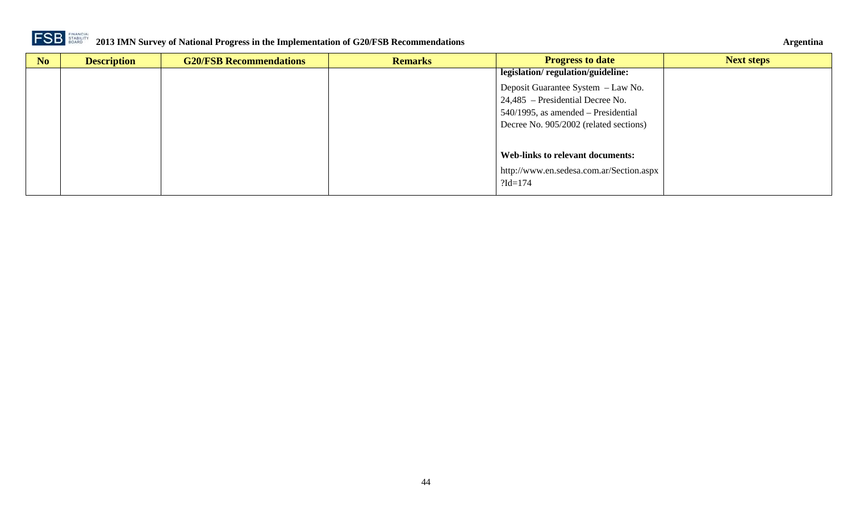

| No | <b>Description</b> | <b>G20/FSB Recommendations</b> | <b>Remarks</b> | <b>Progress to date</b>                  | <b>Next steps</b> |
|----|--------------------|--------------------------------|----------------|------------------------------------------|-------------------|
|    |                    |                                |                | legislation/regulation/guideline:        |                   |
|    |                    |                                |                | Deposit Guarantee System - Law No.       |                   |
|    |                    |                                |                | 24,485 – Presidential Decree No.         |                   |
|    |                    |                                |                | 540/1995, as amended – Presidential      |                   |
|    |                    |                                |                | Decree No. 905/2002 (related sections)   |                   |
|    |                    |                                |                |                                          |                   |
|    |                    |                                |                | Web-links to relevant documents:         |                   |
|    |                    |                                |                | http://www.en.sedesa.com.ar/Section.aspx |                   |
|    |                    |                                |                | $?Id = 174$                              |                   |
|    |                    |                                |                |                                          |                   |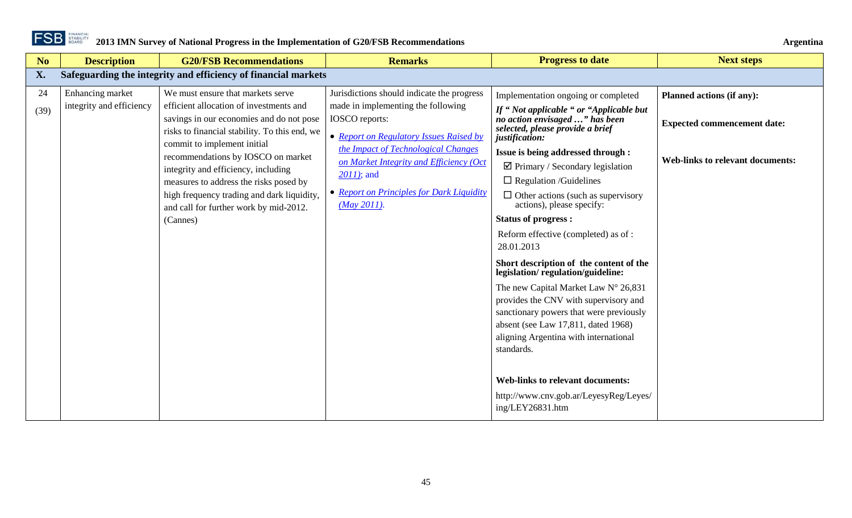

<span id="page-44-0"></span>

| N <sub>o</sub> | <b>Description</b>                           | <b>G20/FSB Recommendations</b>                                                                                                                                                                                                                                                                                                                                                                                                      | <b>Remarks</b>                                                                                                                                                                                                                                                                                                 | <b>Progress to date</b>                                                                                                                                                                                                                                                                                                                                                                                                                                                                                                                                                                                                                                                                                                                                                                                                                                                            | <b>Next steps</b>                                                                                                 |
|----------------|----------------------------------------------|-------------------------------------------------------------------------------------------------------------------------------------------------------------------------------------------------------------------------------------------------------------------------------------------------------------------------------------------------------------------------------------------------------------------------------------|----------------------------------------------------------------------------------------------------------------------------------------------------------------------------------------------------------------------------------------------------------------------------------------------------------------|------------------------------------------------------------------------------------------------------------------------------------------------------------------------------------------------------------------------------------------------------------------------------------------------------------------------------------------------------------------------------------------------------------------------------------------------------------------------------------------------------------------------------------------------------------------------------------------------------------------------------------------------------------------------------------------------------------------------------------------------------------------------------------------------------------------------------------------------------------------------------------|-------------------------------------------------------------------------------------------------------------------|
| X.             |                                              | Safeguarding the integrity and efficiency of financial markets                                                                                                                                                                                                                                                                                                                                                                      |                                                                                                                                                                                                                                                                                                                |                                                                                                                                                                                                                                                                                                                                                                                                                                                                                                                                                                                                                                                                                                                                                                                                                                                                                    |                                                                                                                   |
| 24<br>(39)     | Enhancing market<br>integrity and efficiency | We must ensure that markets serve<br>efficient allocation of investments and<br>savings in our economies and do not pose<br>risks to financial stability. To this end, we<br>commit to implement initial<br>recommendations by IOSCO on market<br>integrity and efficiency, including<br>measures to address the risks posed by<br>high frequency trading and dark liquidity,<br>and call for further work by mid-2012.<br>(Cannes) | Jurisdictions should indicate the progress<br>made in implementing the following<br>IOSCO reports:<br>• Report on Regulatory Issues Raised by<br>the Impact of Technological Changes<br>on Market Integrity and Efficiency (Oct<br>$2011$ ; and<br>• Report on Principles for Dark Liquidity<br>$(May 2011)$ . | Implementation ongoing or completed<br>If "Not applicable " or "Applicable but<br>no action envisaged " has been<br>selected, please provide a brief<br>justification:<br><b>Issue is being addressed through:</b><br>$\boxtimes$ Primary / Secondary legislation<br>$\Box$ Regulation /Guidelines<br>$\Box$ Other actions (such as supervisory<br>actions), please specify:<br><b>Status of progress:</b><br>Reform effective (completed) as of:<br>28.01.2013<br>Short description of the content of the<br>legislation/regulation/guideline:<br>The new Capital Market Law N° 26,831<br>provides the CNV with supervisory and<br>sanctionary powers that were previously<br>absent (see Law 17,811, dated 1968)<br>aligning Argentina with international<br>standards.<br><b>Web-links to relevant documents:</b><br>http://www.cnv.gob.ar/LeyesyReg/Leyes/<br>ing/LEY26831.htm | <b>Planned actions (if any):</b><br><b>Expected commencement date:</b><br><b>Web-links to relevant documents:</b> |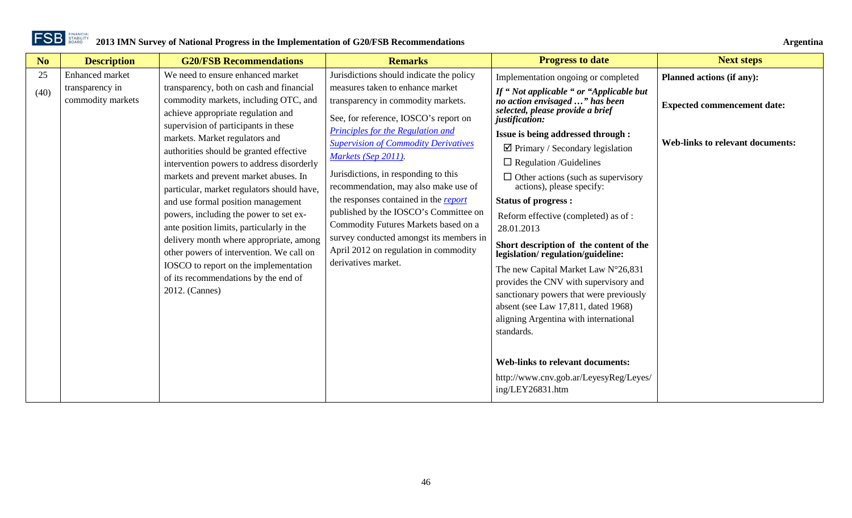| N <sub>o</sub> | <b>Description</b>                   | <b>G20/FSB Recommendations</b>                                                                                                                                                                                                                                                                                                                                                                                                                                             | <b>Remarks</b>                                                                                                                                                                                                                                                                                                                                                                                                               | <b>Progress to date</b>                                                                                                                                                                                                                                                                                                                                         | <b>Next steps</b>                       |
|----------------|--------------------------------------|----------------------------------------------------------------------------------------------------------------------------------------------------------------------------------------------------------------------------------------------------------------------------------------------------------------------------------------------------------------------------------------------------------------------------------------------------------------------------|------------------------------------------------------------------------------------------------------------------------------------------------------------------------------------------------------------------------------------------------------------------------------------------------------------------------------------------------------------------------------------------------------------------------------|-----------------------------------------------------------------------------------------------------------------------------------------------------------------------------------------------------------------------------------------------------------------------------------------------------------------------------------------------------------------|-----------------------------------------|
| 25             | Enhanced market                      | We need to ensure enhanced market                                                                                                                                                                                                                                                                                                                                                                                                                                          | Jurisdictions should indicate the policy                                                                                                                                                                                                                                                                                                                                                                                     | Implementation ongoing or completed                                                                                                                                                                                                                                                                                                                             | Planned actions (if any):               |
| (40)           | transparency in<br>commodity markets | transparency, both on cash and financial<br>commodity markets, including OTC, and<br>achieve appropriate regulation and<br>supervision of participants in these                                                                                                                                                                                                                                                                                                            | measures taken to enhance market<br>transparency in commodity markets.<br>See, for reference, IOSCO's report on                                                                                                                                                                                                                                                                                                              | If "Not applicable " or "Applicable but<br>no action envisaged " has been<br>selected, please provide a brief<br>justification:                                                                                                                                                                                                                                 | <b>Expected commencement date:</b>      |
|                |                                      | markets. Market regulators and<br>authorities should be granted effective<br>intervention powers to address disorderly<br>markets and prevent market abuses. In<br>particular, market regulators should have,<br>and use formal position management<br>powers, including the power to set ex-<br>ante position limits, particularly in the<br>delivery month where appropriate, among<br>other powers of intervention. We call on<br>IOSCO to report on the implementation | Principles for the Regulation and<br><b>Supervision of Commodity Derivatives</b><br>Markets (Sep 2011).<br>Jurisdictions, in responding to this<br>recommendation, may also make use of<br>the responses contained in the report<br>published by the IOSCO's Committee on<br>Commodity Futures Markets based on a<br>survey conducted amongst its members in<br>April 2012 on regulation in commodity<br>derivatives market. | Issue is being addressed through :<br>$\boxtimes$ Primary / Secondary legislation<br>$\Box$ Regulation /Guidelines<br>$\Box$ Other actions (such as supervisory<br>actions), please specify:<br><b>Status of progress:</b><br>Reform effective (completed) as of:<br>28.01.2013<br>Short description of the content of the<br>legislation/regulation/guideline: | <b>Web-links to relevant documents:</b> |
|                |                                      | of its recommendations by the end of<br>2012. (Cannes)                                                                                                                                                                                                                                                                                                                                                                                                                     |                                                                                                                                                                                                                                                                                                                                                                                                                              | The new Capital Market Law N°26,831<br>provides the CNV with supervisory and<br>sanctionary powers that were previously<br>absent (see Law 17,811, dated 1968)<br>aligning Argentina with international<br>standards.<br><b>Web-links to relevant documents:</b><br>http://www.cnv.gob.ar/LeyesyReg/Leyes/<br>ing/LEY26831.htm                                  |                                         |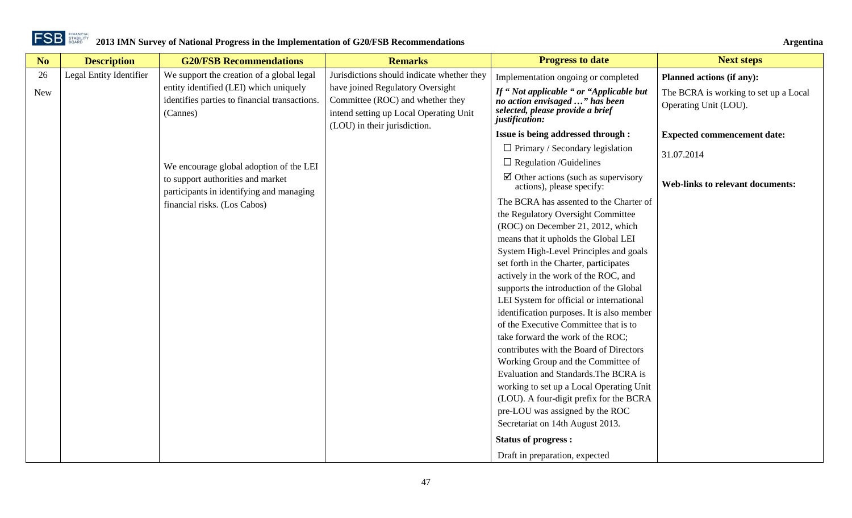

| N <sub>o</sub> | <b>Description</b>      | <b>G20/FSB Recommendations</b>                                                                                           | <b>Remarks</b>                                                                                                                                 | <b>Progress to date</b>                                                                                                         | <b>Next steps</b>                                              |
|----------------|-------------------------|--------------------------------------------------------------------------------------------------------------------------|------------------------------------------------------------------------------------------------------------------------------------------------|---------------------------------------------------------------------------------------------------------------------------------|----------------------------------------------------------------|
| 26             | Legal Entity Identifier | We support the creation of a global legal                                                                                | Jurisdictions should indicate whether they                                                                                                     | Implementation ongoing or completed                                                                                             | <b>Planned actions (if any):</b>                               |
| <b>New</b>     |                         | entity identified (LEI) which uniquely<br>identifies parties to financial transactions.<br>(Cannes)                      | have joined Regulatory Oversight<br>Committee (ROC) and whether they<br>intend setting up Local Operating Unit<br>(LOU) in their jurisdiction. | If "Not applicable " or "Applicable but<br>no action envisaged " has been<br>selected, please provide a brief<br>justification: | The BCRA is working to set up a Local<br>Operating Unit (LOU). |
|                |                         |                                                                                                                          |                                                                                                                                                | Issue is being addressed through :                                                                                              | <b>Expected commencement date:</b>                             |
|                |                         | We encourage global adoption of the LEI<br>to support authorities and market<br>participants in identifying and managing |                                                                                                                                                | $\Box$ Primary / Secondary legislation                                                                                          | 31.07.2014                                                     |
|                |                         |                                                                                                                          |                                                                                                                                                | $\Box$ Regulation /Guidelines                                                                                                   |                                                                |
|                |                         |                                                                                                                          |                                                                                                                                                | $\boxtimes$ Other actions (such as supervisory<br>actions), please specify:                                                     | <b>Web-links to relevant documents:</b>                        |
|                |                         | financial risks. (Los Cabos)                                                                                             |                                                                                                                                                | The BCRA has assented to the Charter of                                                                                         |                                                                |
|                |                         |                                                                                                                          |                                                                                                                                                | the Regulatory Oversight Committee                                                                                              |                                                                |
|                |                         |                                                                                                                          |                                                                                                                                                | (ROC) on December 21, 2012, which                                                                                               |                                                                |
|                |                         |                                                                                                                          |                                                                                                                                                | means that it upholds the Global LEI                                                                                            |                                                                |
|                |                         |                                                                                                                          |                                                                                                                                                | System High-Level Principles and goals                                                                                          |                                                                |
|                |                         |                                                                                                                          |                                                                                                                                                | set forth in the Charter, participates                                                                                          |                                                                |
|                |                         |                                                                                                                          |                                                                                                                                                | actively in the work of the ROC, and                                                                                            |                                                                |
|                |                         |                                                                                                                          |                                                                                                                                                | supports the introduction of the Global                                                                                         |                                                                |
|                |                         |                                                                                                                          |                                                                                                                                                | LEI System for official or international                                                                                        |                                                                |
|                |                         |                                                                                                                          |                                                                                                                                                | identification purposes. It is also member                                                                                      |                                                                |
|                |                         |                                                                                                                          |                                                                                                                                                | of the Executive Committee that is to                                                                                           |                                                                |
|                |                         |                                                                                                                          |                                                                                                                                                | take forward the work of the ROC;                                                                                               |                                                                |
|                |                         |                                                                                                                          |                                                                                                                                                | contributes with the Board of Directors                                                                                         |                                                                |
|                |                         |                                                                                                                          |                                                                                                                                                | Working Group and the Committee of                                                                                              |                                                                |
|                |                         |                                                                                                                          |                                                                                                                                                | Evaluation and Standards. The BCRA is                                                                                           |                                                                |
|                |                         |                                                                                                                          |                                                                                                                                                | working to set up a Local Operating Unit                                                                                        |                                                                |
|                |                         |                                                                                                                          |                                                                                                                                                | (LOU). A four-digit prefix for the BCRA                                                                                         |                                                                |
|                |                         |                                                                                                                          |                                                                                                                                                | pre-LOU was assigned by the ROC                                                                                                 |                                                                |
|                |                         |                                                                                                                          |                                                                                                                                                | Secretariat on 14th August 2013.                                                                                                |                                                                |
|                |                         |                                                                                                                          |                                                                                                                                                | <b>Status of progress:</b>                                                                                                      |                                                                |
|                |                         |                                                                                                                          |                                                                                                                                                | Draft in preparation, expected                                                                                                  |                                                                |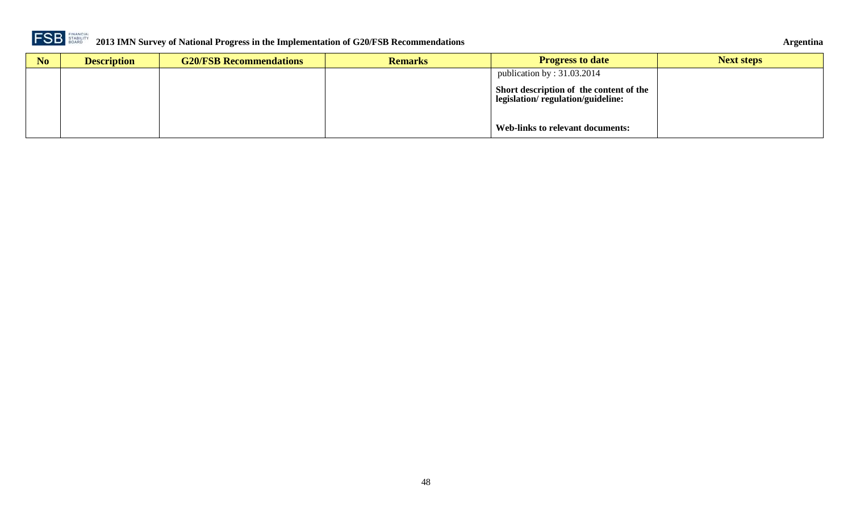

| No | <b>Description</b> | <b>G20/FSB Recommendations</b> | <b>Remarks</b> | <b>Progress to date</b>                                                      | <b>Next steps</b> |
|----|--------------------|--------------------------------|----------------|------------------------------------------------------------------------------|-------------------|
|    |                    |                                |                | publication by : $31.03.2014$                                                |                   |
|    |                    |                                |                | Short description of the content of the<br>legislation/regulation/guideline: |                   |
|    |                    |                                |                | Web-links to relevant documents:                                             |                   |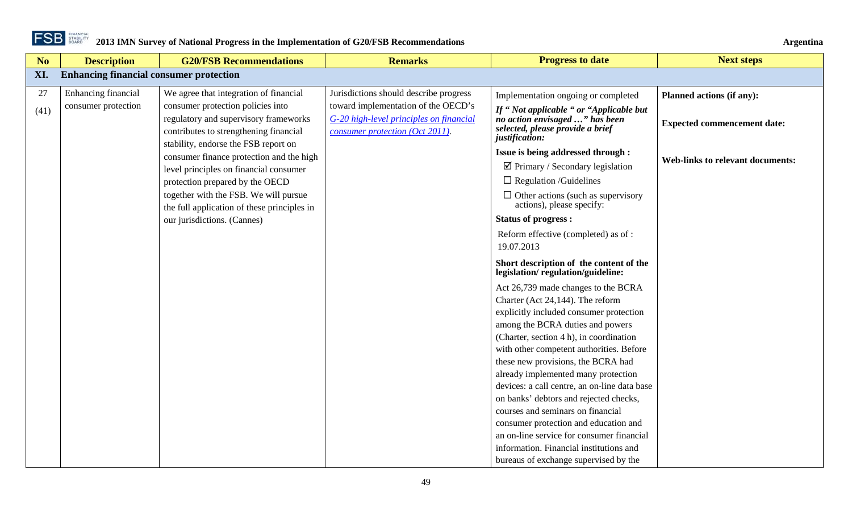

<span id="page-48-0"></span>

| No         | <b>Description</b>                             | <b>G20/FSB Recommendations</b>                                                                                                                                                                                                                                                                                                                                                                                                                         | <b>Remarks</b>                                                                                                                                              | <b>Progress to date</b>                                                                                                                                                                                                                                                                                                                                                                                                                                                                                                                                                                                                                                                                                                                                                                                                                                                                                                 | <b>Next steps</b>                                                                                          |  |  |  |
|------------|------------------------------------------------|--------------------------------------------------------------------------------------------------------------------------------------------------------------------------------------------------------------------------------------------------------------------------------------------------------------------------------------------------------------------------------------------------------------------------------------------------------|-------------------------------------------------------------------------------------------------------------------------------------------------------------|-------------------------------------------------------------------------------------------------------------------------------------------------------------------------------------------------------------------------------------------------------------------------------------------------------------------------------------------------------------------------------------------------------------------------------------------------------------------------------------------------------------------------------------------------------------------------------------------------------------------------------------------------------------------------------------------------------------------------------------------------------------------------------------------------------------------------------------------------------------------------------------------------------------------------|------------------------------------------------------------------------------------------------------------|--|--|--|
| XI.        | <b>Enhancing financial consumer protection</b> |                                                                                                                                                                                                                                                                                                                                                                                                                                                        |                                                                                                                                                             |                                                                                                                                                                                                                                                                                                                                                                                                                                                                                                                                                                                                                                                                                                                                                                                                                                                                                                                         |                                                                                                            |  |  |  |
| 27<br>(41) | Enhancing financial<br>consumer protection     | We agree that integration of financial<br>consumer protection policies into<br>regulatory and supervisory frameworks<br>contributes to strengthening financial<br>stability, endorse the FSB report on<br>consumer finance protection and the high<br>level principles on financial consumer<br>protection prepared by the OECD<br>together with the FSB. We will pursue<br>the full application of these principles in<br>our jurisdictions. (Cannes) | Jurisdictions should describe progress<br>toward implementation of the OECD's<br>G-20 high-level principles on financial<br>consumer protection (Oct 2011). | Implementation ongoing or completed<br>If "Not applicable " or "Applicable but<br>no action envisaged " has been<br>selected, please provide a brief<br>justification:<br>Issue is being addressed through :<br>$\boxtimes$ Primary / Secondary legislation<br>$\Box$ Regulation /Guidelines<br>$\Box$ Other actions (such as supervisory<br>actions), please specify:<br><b>Status of progress:</b><br>Reform effective (completed) as of:<br>19.07.2013<br>Short description of the content of the<br>legislation/regulation/guideline:<br>Act 26,739 made changes to the BCRA<br>Charter (Act 24,144). The reform<br>explicitly included consumer protection<br>among the BCRA duties and powers<br>(Charter, section 4 h), in coordination<br>with other competent authorities. Before<br>these new provisions, the BCRA had<br>already implemented many protection<br>devices: a call centre, an on-line data base | Planned actions (if any):<br><b>Expected commencement date:</b><br><b>Web-links to relevant documents:</b> |  |  |  |
|            |                                                |                                                                                                                                                                                                                                                                                                                                                                                                                                                        |                                                                                                                                                             | on banks' debtors and rejected checks,<br>courses and seminars on financial<br>consumer protection and education and<br>an on-line service for consumer financial<br>information. Financial institutions and<br>bureaus of exchange supervised by the                                                                                                                                                                                                                                                                                                                                                                                                                                                                                                                                                                                                                                                                   |                                                                                                            |  |  |  |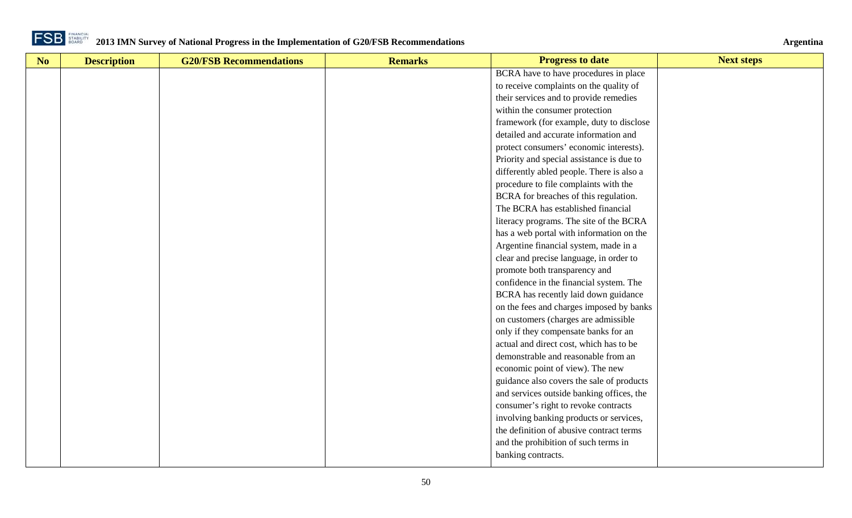

| No | <b>Description</b> | <b>G20/FSB Recommendations</b> | <b>Remarks</b> | <b>Progress to date</b>                   | <b>Next steps</b> |
|----|--------------------|--------------------------------|----------------|-------------------------------------------|-------------------|
|    |                    |                                |                | BCRA have to have procedures in place     |                   |
|    |                    |                                |                | to receive complaints on the quality of   |                   |
|    |                    |                                |                | their services and to provide remedies    |                   |
|    |                    |                                |                | within the consumer protection            |                   |
|    |                    |                                |                | framework (for example, duty to disclose  |                   |
|    |                    |                                |                | detailed and accurate information and     |                   |
|    |                    |                                |                | protect consumers' economic interests).   |                   |
|    |                    |                                |                | Priority and special assistance is due to |                   |
|    |                    |                                |                | differently abled people. There is also a |                   |
|    |                    |                                |                | procedure to file complaints with the     |                   |
|    |                    |                                |                | BCRA for breaches of this regulation.     |                   |
|    |                    |                                |                | The BCRA has established financial        |                   |
|    |                    |                                |                | literacy programs. The site of the BCRA   |                   |
|    |                    |                                |                | has a web portal with information on the  |                   |
|    |                    |                                |                | Argentine financial system, made in a     |                   |
|    |                    |                                |                | clear and precise language, in order to   |                   |
|    |                    |                                |                | promote both transparency and             |                   |
|    |                    |                                |                | confidence in the financial system. The   |                   |
|    |                    |                                |                | BCRA has recently laid down guidance      |                   |
|    |                    |                                |                | on the fees and charges imposed by banks  |                   |
|    |                    |                                |                | on customers (charges are admissible      |                   |
|    |                    |                                |                | only if they compensate banks for an      |                   |
|    |                    |                                |                | actual and direct cost, which has to be   |                   |
|    |                    |                                |                | demonstrable and reasonable from an       |                   |
|    |                    |                                |                | economic point of view). The new          |                   |
|    |                    |                                |                | guidance also covers the sale of products |                   |
|    |                    |                                |                | and services outside banking offices, the |                   |
|    |                    |                                |                | consumer's right to revoke contracts      |                   |
|    |                    |                                |                | involving banking products or services,   |                   |
|    |                    |                                |                | the definition of abusive contract terms  |                   |
|    |                    |                                |                | and the prohibition of such terms in      |                   |
|    |                    |                                |                | banking contracts.                        |                   |
|    |                    |                                |                |                                           |                   |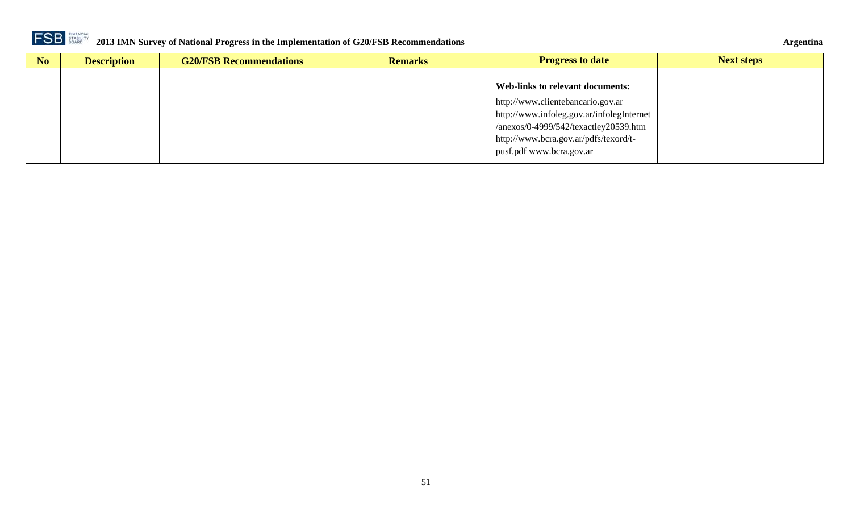

| N <sub>o</sub> | <b>Description</b> | <b>G20/FSB Recommendations</b> | <b>Remarks</b> | <b>Progress to date</b>                   | <b>Next steps</b> |
|----------------|--------------------|--------------------------------|----------------|-------------------------------------------|-------------------|
|                |                    |                                |                |                                           |                   |
|                |                    |                                |                | Web-links to relevant documents:          |                   |
|                |                    |                                |                | http://www.clientebancario.gov.ar         |                   |
|                |                    |                                |                | http://www.infoleg.gov.ar/infolegInternet |                   |
|                |                    |                                |                | $/anexos/0-4999/542/texactley20539.htm$   |                   |
|                |                    |                                |                | http://www.bcra.gov.ar/pdfs/texord/t-     |                   |
|                |                    |                                |                | pusf.pdf www.bcra.gov.ar                  |                   |